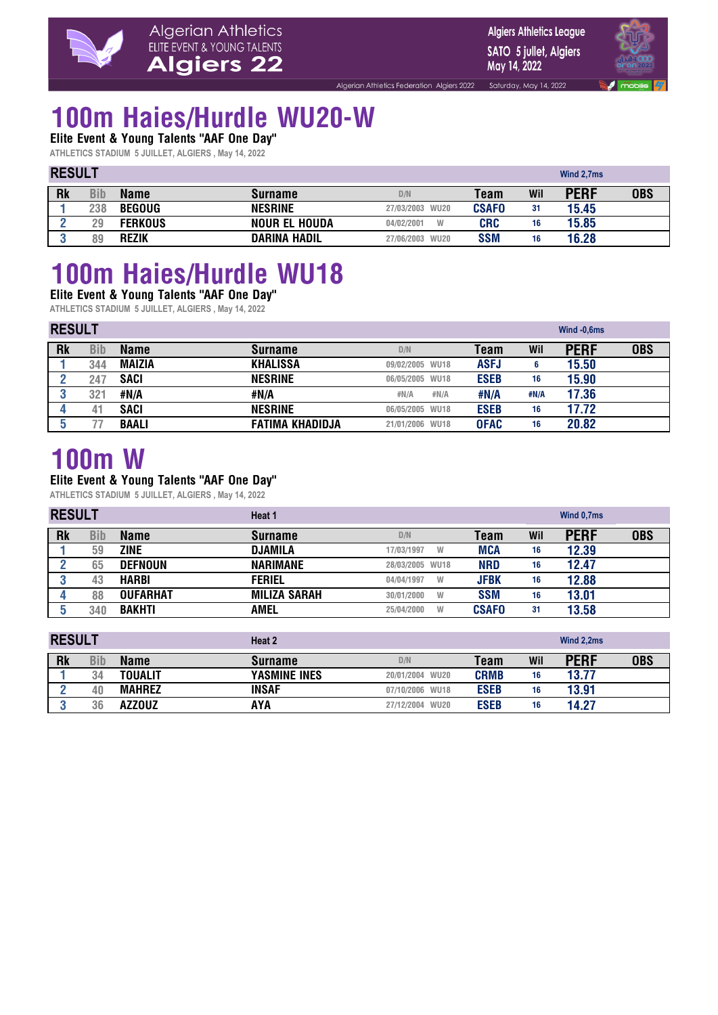

**Algiers Athletics League** SATO 5 jullet, Algiers May 14, 2022

Saturday, May 14, 2022



### **100m Haies/Hurdle WU20-W**

**Elite Event & Young Talents "AAF One Day"** 

**ATHLETICS STADIUM 5 JUILLET, ALGIERS , May 14, 2022**

|           | <b>RESULT</b> |                |                      |                           |              |     | Wind 2.7ms  |            |
|-----------|---------------|----------------|----------------------|---------------------------|--------------|-----|-------------|------------|
| <b>Rk</b> | Bib           | <b>Name</b>    | <b>Surname</b>       | D/N                       | Team         | Wil | <b>PERF</b> | <b>OBS</b> |
|           | 238           | <b>BEGOUG</b>  | <b>NESRINE</b>       | 27/03/2003 WU20           | <b>CSAFO</b> | 31  | 15.45       |            |
|           | 29            | <b>FERKOUS</b> | <b>NOUR EL HOUDA</b> | W<br>04/02/2001           | <b>CRC</b>   | 16  | 15.85       |            |
|           | 89            | <b>REZIK</b>   | <b>DARINA HADIL</b>  | <b>WU20</b><br>27/06/2003 | <b>SSM</b>   | 16  | 16.28       |            |

Algerian Athletics Federation Algiers 2022

### **100m Haies/Hurdle WU18 Elite Event & Young Talents "AAF One Day"**

**ATHLETICS STADIUM 5 JUILLET, ALGIERS , May 14, 2022**

| <b>RESULT</b> |     |               |                        |                 |             |      | Wind -0,6ms |            |
|---------------|-----|---------------|------------------------|-----------------|-------------|------|-------------|------------|
| <b>Rk</b>     | Bib | <b>Name</b>   | <b>Surname</b>         | D/N             | Team        | Wil  | <b>PERF</b> | <b>OBS</b> |
|               | 344 | <b>MAIZIA</b> | <b>KHALISSA</b>        | 09/02/2005 WU18 | <b>ASFJ</b> | 6    | 15.50       |            |
|               | 247 | <b>SACI</b>   | <b>NESRINE</b>         | 06/05/2005 WU18 | <b>ESEB</b> | 16   | 15.90       |            |
|               | 321 | #N/A          | #N/A                   | #N/A<br>#N/A    | #N/A        | #N/A | 17.36       |            |
|               | 4   | <b>SACI</b>   | <b>NESRINE</b>         | 06/05/2005 WU18 | <b>ESEB</b> | 16   | 17.72       |            |
|               |     | <b>BAALI</b>  | <b>FATIMA KHADIDJA</b> | 21/01/2006 WU18 | <b>OFAC</b> | 16   | 20.82       |            |

### **100m W**

#### **Elite Event & Young Talents "AAF One Day"**

| <b>RESULT</b> |     |                 | Heat 1              |                 |              |     | Wind 0,7ms  |            |  |
|---------------|-----|-----------------|---------------------|-----------------|--------------|-----|-------------|------------|--|
| <b>Rk</b>     | Bib | <b>Name</b>     | <b>Surname</b>      | D/N             | Team         | Wil | <b>PERF</b> | <b>OBS</b> |  |
|               | 59  | <b>ZINE</b>     | <b>DJAMILA</b>      | 17/03/1997<br>W | <b>MCA</b>   | 16  | 12.39       |            |  |
|               | 65  | <b>DEFNOUN</b>  | <b>NARIMANE</b>     | 28/03/2005 WU18 | <b>NRD</b>   | 16  | 12.47       |            |  |
|               | 43  | <b>HARBI</b>    | <b>FERIEL</b>       | 04/04/1997<br>W | <b>JFBK</b>  | 16  | 12.88       |            |  |
|               | 88  | <b>OUFARHAT</b> | <b>MILIZA SARAH</b> | 30/01/2000<br>W | <b>SSM</b>   | 16  | 13.01       |            |  |
|               | 340 | <b>BAKHTI</b>   | AMEL                | 25/04/2000<br>W | <b>CSAFO</b> | 31  | 13.58       |            |  |

| <b>RESULT</b> |     |                | Heat 2              |                 |             |     | Wind 2,2ms  |            |  |
|---------------|-----|----------------|---------------------|-----------------|-------------|-----|-------------|------------|--|
| <b>Rk</b>     | Bib | <b>Name</b>    | <b>Surname</b>      | D/N             | Team        | Wil | <b>PERF</b> | <b>OBS</b> |  |
|               | 34  | <b>TOUALIT</b> | <b>YASMINE INES</b> | 20/01/2004 WU20 | <b>CRMB</b> | 16  | 13.77       |            |  |
|               | 40  | <b>MAHREZ</b>  | INSAF               | 07/10/2006 WU18 | <b>ESEB</b> | 16  | 13.91       |            |  |
|               | 36  | <b>AZZOUZ</b>  | AYA                 | 27/12/2004 WU20 | <b>ESEB</b> | 16  | 14.27       |            |  |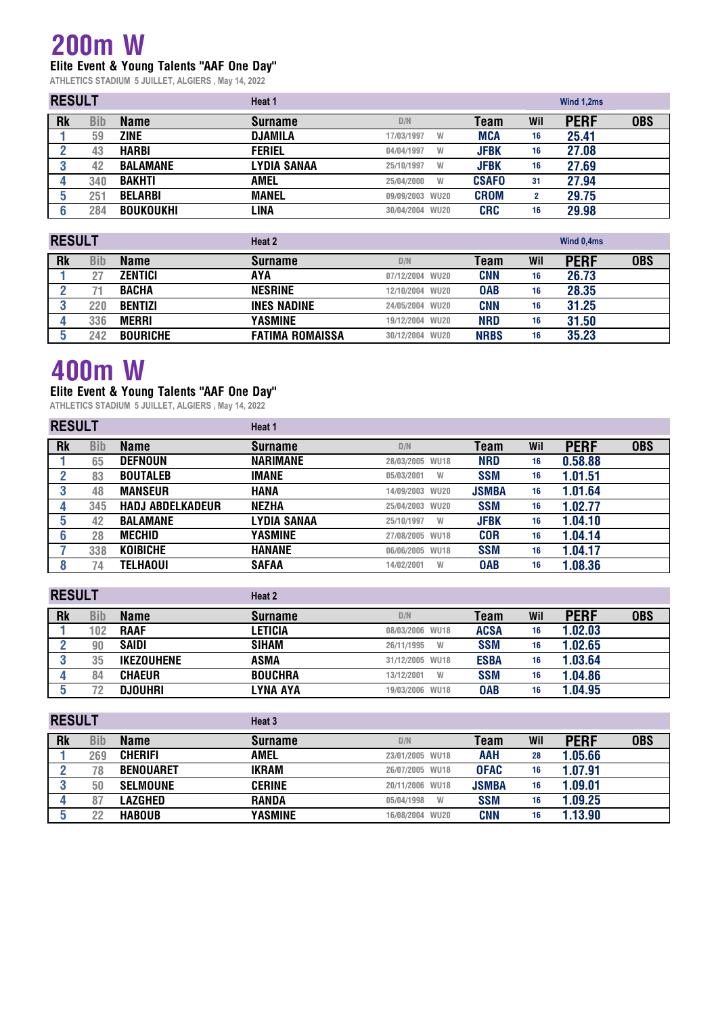### **200m W Elite Event & Young Talents "AAF One Day"**

**ATHLETICS STADIUM 5 JUILLET, ALGIERS , May 14, 2022**

|           | <b>RESULT</b> |                  | Heat 1         |                 |              |     | Wind 1,2ms  |            |  |
|-----------|---------------|------------------|----------------|-----------------|--------------|-----|-------------|------------|--|
| <b>Rk</b> | Bib           | <b>Name</b>      | <b>Surname</b> | D/N             | Team         | Wil | <b>PERF</b> | <b>OBS</b> |  |
|           | 59            | <b>ZINE</b>      | <b>DJAMILA</b> | 17/03/1997<br>W | <b>MCA</b>   | 16  | 25.41       |            |  |
|           | 43            | <b>HARBI</b>     | <b>FERIEL</b>  | 04/04/1997<br>W | <b>JFBK</b>  | 16  | 27.08       |            |  |
|           | 42            | <b>BALAMANE</b>  | LYDIA SANAA    | 25/10/1997<br>W | <b>JFBK</b>  | 16  | 27.69       |            |  |
|           | 340           | <b>BAKHTI</b>    | AMEL           | 25/04/2000<br>W | <b>CSAFO</b> | 31  | 27.94       |            |  |
|           | 251           | <b>BELARBI</b>   | <b>MANEL</b>   | 09/09/2003 WU20 | <b>CROM</b>  | 2   | 29.75       |            |  |
|           | 284           | <b>BOUKOUKHI</b> | LINA           | 30/04/2004 WU20 | <b>CRC</b>   | 16  | 29.98       |            |  |

| <b>RESULT</b> |     |                 | Heat 2                 |                 |             |     | Wind 0,4ms  |            |  |
|---------------|-----|-----------------|------------------------|-----------------|-------------|-----|-------------|------------|--|
| <b>Rk</b>     | Bib | <b>Name</b>     | <b>Surname</b>         | D/N             | Team        | Wil | <b>PERF</b> | <b>OBS</b> |  |
|               |     | <b>ZENTICI</b>  | AYA                    | 07/12/2004 WU20 | <b>CNN</b>  | 16  | 26.73       |            |  |
|               |     | <b>BACHA</b>    | <b>NESRINE</b>         | 12/10/2004 WU20 | <b>OAB</b>  | 16  | 28.35       |            |  |
|               | 220 | <b>BENTIZI</b>  | <b>INES NADINE</b>     | 24/05/2004 WU20 | <b>CNN</b>  | 16  | 31.25       |            |  |
|               | 336 | <b>MERRI</b>    | YASMINE                | 19/12/2004 WU20 | <b>NRD</b>  | 16  | 31.50       |            |  |
|               | 242 | <b>BOURICHE</b> | <b>FATIMA ROMAISSA</b> | 30/12/2004 WU20 | <b>NRBS</b> | 16  | 35.23       |            |  |

### **400m W**

#### **Elite Event & Young Talents "AAF One Day"**

| <b>RESULT</b> |            |                         | Heat 1          |                 |              |     |             |            |
|---------------|------------|-------------------------|-----------------|-----------------|--------------|-----|-------------|------------|
| <b>Rk</b>     | <b>Bib</b> | <b>Name</b>             | <b>Surname</b>  | D/N             | <b>Team</b>  | Wil | <b>PERF</b> | <b>OBS</b> |
|               | 65         | <b>DEFNOUN</b>          | <b>NARIMANE</b> | 28/03/2005 WU18 | <b>NRD</b>   | 16  | 0.58.88     |            |
| 2             | 83         | <b>BOUTALEB</b>         | <b>IMANE</b>    | 05/03/2001<br>W | <b>SSM</b>   | 16  | 1.01.51     |            |
| 3             | 48         | <b>MANSEUR</b>          | HANA            | 14/09/2003 WU20 | <b>JSMBA</b> | 16  | 1.01.64     |            |
| 4             | 345        | <b>HADJ ABDELKADEUR</b> | <b>NEZHA</b>    | 25/04/2003 WU20 | <b>SSM</b>   | 16  | 1.02.77     |            |
| 5             | 42         | <b>BALAMANE</b>         | LYDIA SANAA     | 25/10/1997<br>W | <b>JFBK</b>  | 16  | 1.04.10     |            |
| 6             | 28         | <b>MECHID</b>           | YASMINE         | 27/08/2005 WU18 | <b>COR</b>   | 16  | 1.04.14     |            |
|               | 338        | <b>KOIBICHE</b>         | <b>HANANE</b>   | 06/06/2005 WU18 | <b>SSM</b>   | 16  | 1.04.17     |            |
| 8             | 74         | <b>TELHAOUI</b>         | <b>SAFAA</b>    | 14/02/2001<br>W | <b>OAB</b>   | 16  | 1.08.36     |            |
|               |            |                         |                 |                 |              |     |             |            |
| <b>RESULT</b> |            |                         | Heat 2          |                 |              |     |             |            |
| <b>Rk</b>     | <b>Bib</b> | <b>Name</b>             | <b>Surname</b>  | D/N             | Team         | Wil | <b>PERF</b> | <b>OBS</b> |
|               | 102        | <b>RAAF</b>             | LETICIA         | 08/03/2006 WU18 | <b>ACSA</b>  | 16  | 1.02.03     |            |

| I U 4    | <b>DAAF</b>       | LETIVIA        | UU/UU/LUUU WUTU | <b>AGON</b> | 10 | 1.UZ.UJ |
|----------|-------------------|----------------|-----------------|-------------|----|---------|
| 90       | <b>SAIDI</b>      | SIHAM          | 26/11/1995<br>W | <b>SSM</b>  | 16 | 1.02.65 |
| った<br>υu | <b>IKEZOUHENE</b> | ASMA           | 31/12/2005 WU18 | <b>ESBA</b> |    | .03.64  |
| 84       | <b>CHAEUR</b>     | <b>BOUCHRA</b> | W<br>13/12/2001 | <b>SSM</b>  |    | 1.04.86 |
|          | <b>DJOUHRI</b>    | .YNA AYA       | 19/03/2006 WU18 | <b>OAB</b>  |    | .04.95  |

| <b>RESULT</b> |     |                  | Heat 3         |                 |              |     |             |            |  |  |  |
|---------------|-----|------------------|----------------|-----------------|--------------|-----|-------------|------------|--|--|--|
| <b>Rk</b>     | Bib | <b>Name</b>      | <b>Surname</b> | D/N             | Team         | Wil | <b>PERF</b> | <b>OBS</b> |  |  |  |
|               | 269 | <b>CHERIFI</b>   | AMEL           | 23/01/2005 WU18 | <b>AAH</b>   | 28  | 1.05.66     |            |  |  |  |
|               | 78  | <b>BENOUARET</b> | <b>IKRAM</b>   | 26/07/2005 WU18 | <b>OFAC</b>  | 16  | 1.07.91     |            |  |  |  |
|               | 50  | <b>SELMOUNE</b>  | <b>CERINE</b>  | 20/11/2006 WU18 | <b>JSMBA</b> | 16  | 1.09.01     |            |  |  |  |
|               | 87  | LAZGHED          | <b>RANDA</b>   | 05/04/1998<br>W | <b>SSM</b>   | 16  | 1.09.25     |            |  |  |  |
|               | 22  | <b>HABOUB</b>    | YASMINE        | 16/08/2004 WU20 | <b>CNN</b>   | 16  | 1.13.90     |            |  |  |  |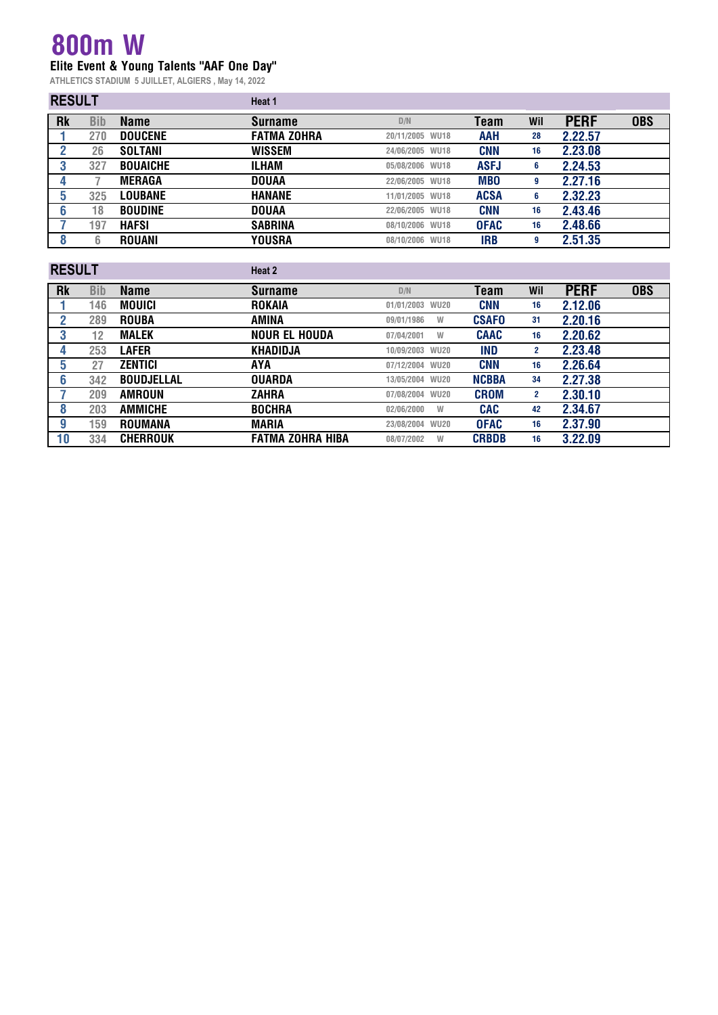### **800m W Elite Event & Young Talents "AAF One Day"**

| <b>RESULT</b> |            |                 | Heat 1             |                 |             |     |             |            |
|---------------|------------|-----------------|--------------------|-----------------|-------------|-----|-------------|------------|
| <b>Rk</b>     | <b>Bib</b> | <b>Name</b>     | <b>Surname</b>     | D/N             | Team        | Wil | <b>PERF</b> | <b>OBS</b> |
|               | 270        | <b>DOUCENE</b>  | <b>FATMA ZOHRA</b> | 20/11/2005 WU18 | <b>AAH</b>  | 28  | 2.22.57     |            |
|               | 26         | <b>SOLTANI</b>  | <b>WISSEM</b>      | 24/06/2005 WU18 | <b>CNN</b>  | 16  | 2.23.08     |            |
|               | 327        | <b>BOUAICHE</b> | ILHAM              | 05/08/2006 WU18 | <b>ASFJ</b> | 6   | 2.24.53     |            |
|               |            | <b>MERAGA</b>   | <b>DOUAA</b>       | 22/06/2005 WU18 | <b>MBO</b>  | 9   | 2.27.16     |            |
| 5             | 325        | <b>LOUBANE</b>  | <b>HANANE</b>      | 11/01/2005 WU18 | <b>ACSA</b> | 6   | 2.32.23     |            |
| b             | 18         | <b>BOUDINE</b>  | <b>DOUAA</b>       | 22/06/2005 WU18 | <b>CNN</b>  | 16  | 2.43.46     |            |
|               | 197        | HAFSI           | <b>SABRINA</b>     | 08/10/2006 WU18 | <b>OFAC</b> | 16  | 2.48.66     |            |
|               | 6          | <b>ROUANI</b>   | <b>YOUSRA</b>      | 08/10/2006 WU18 | <b>IRB</b>  | 9   | 2.51.35     |            |

| <b>RESULT</b> |            |                   | Heat 2                  |                 |              |              |             |            |
|---------------|------------|-------------------|-------------------------|-----------------|--------------|--------------|-------------|------------|
| <b>Rk</b>     | <b>Bib</b> | <b>Name</b>       | <b>Surname</b>          | D/N             | Team         | Wil          | <b>PERF</b> | <b>OBS</b> |
|               | 146        | <b>MOUICI</b>     | <b>ROKAIA</b>           | 01/01/2003 WU20 | <b>CNN</b>   | 16           | 2.12.06     |            |
| 2             | 289        | <b>ROUBA</b>      | AMINA                   | 09/01/1986<br>W | <b>CSAFO</b> | 31           | 2.20.16     |            |
| 3             | 12         | <b>MALEK</b>      | <b>NOUR EL HOUDA</b>    | 07/04/2001<br>W | <b>CAAC</b>  | 16           | 2.20.62     |            |
| 4             | 253        | <b>LAFER</b>      | <b>KHADIDJA</b>         | 10/09/2003 WU20 | IND          | $\mathbf{2}$ | 2.23.48     |            |
| 5             | 27         | <b>ZENTICI</b>    | AYA                     | 07/12/2004 WU20 | <b>CNN</b>   | 16           | 2.26.64     |            |
| 6             | 342        | <b>BOUDJELLAL</b> | <b>OUARDA</b>           | 13/05/2004 WU20 | <b>NCBBA</b> | 34           | 2.27.38     |            |
|               | 209        | <b>AMROUN</b>     | ZAHRA                   | 07/08/2004 WU20 | <b>CROM</b>  | $\mathbf{2}$ | 2.30.10     |            |
| 8             | 203        | <b>AMMICHE</b>    | <b>BOCHRA</b>           | 02/06/2000<br>W | <b>CAC</b>   | 42           | 2.34.67     |            |
| g             | 159        | <b>ROUMANA</b>    | <b>MARIA</b>            | 23/08/2004 WU20 | <b>OFAC</b>  | 16           | 2.37.90     |            |
| 10            | 334        | <b>CHERROUK</b>   | <b>FATMA ZOHRA HIBA</b> | 08/07/2002<br>W | <b>CRBDB</b> | 16           | 3.22.09     |            |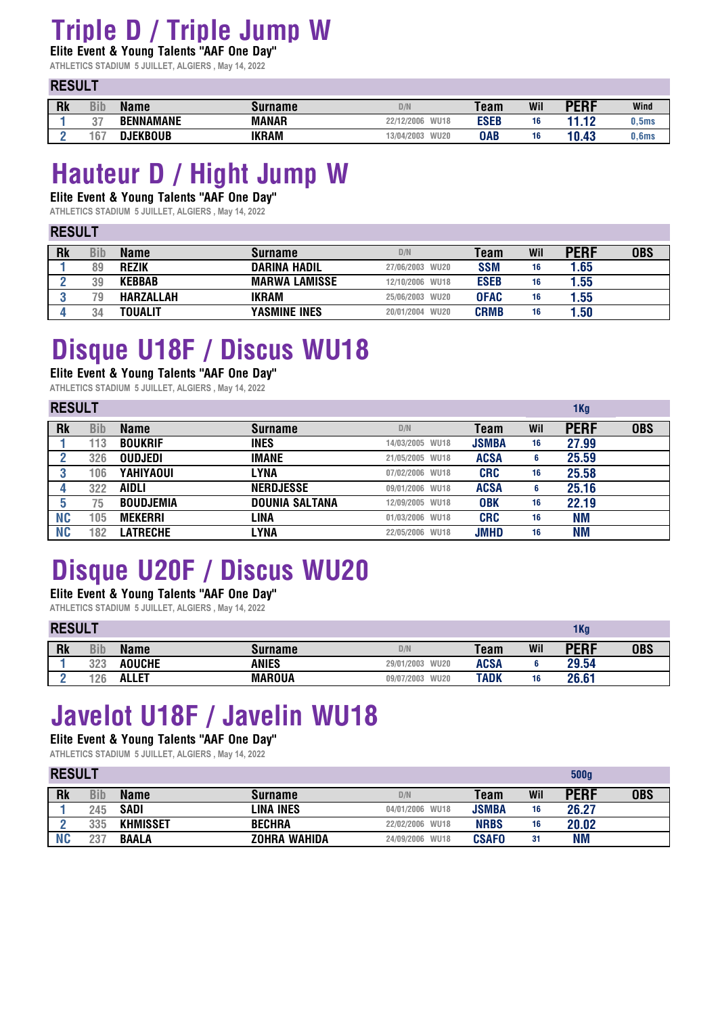## **Triple D / Triple Jump W**

**Elite Event & Young Talents "AAF One Day" ATHLETICS STADIUM 5 JUILLET, ALGIERS , May 14, 2022**

**RESULT** 

| ------    |     |                  |              |                           |             |     |             |                   |
|-----------|-----|------------------|--------------|---------------------------|-------------|-----|-------------|-------------------|
| <b>Rk</b> | Bib | <b>Name</b>      | Surname      | D/N                       | <b>Team</b> | Wil | <b>PERF</b> | Wind              |
|           |     | <b>BENNAMANE</b> | <b>MANAR</b> | <b>WU18</b><br>22/12/2006 | <b>ESEB</b> | 16  | 44 4 9<br>. | J.5ms             |
|           | 67  | DJEKBOUB         | IKRAM        | <b>WU20</b><br>13/04/2003 | <b>OAB</b>  | 16  | 10.43       | 0.6 <sub>ms</sub> |

## **Hauteur D / Hight Jump W**

**Elite Event & Young Talents "AAF One Day"** 

**ATHLETICS STADIUM 5 JUILLET, ALGIERS , May 14, 2022**

#### **RESULT**

| Rk | <b>Bib</b> | <b>Name</b>      | <b>Surname</b>       | D/N             | Team        | Wil | PERF | <b>OBS</b> |
|----|------------|------------------|----------------------|-----------------|-------------|-----|------|------------|
|    | 89         | <b>REZIK</b>     | <b>DARINA HADIL</b>  | 27/06/2003 WU20 | <b>SSM</b>  | 16  | 1.65 |            |
|    | 39         | <b>KEBBAB</b>    | <b>MARWA LAMISSE</b> | 12/10/2006 WU18 | <b>ESEB</b> | 16  | 1.55 |            |
|    | 79.        | <b>HARZALLAH</b> | IKRAM                | 25/06/2003 WU20 | <b>OFAC</b> | 16  | 1.55 |            |
|    |            | TOUALIT          | <b>YASMINE INES</b>  | 20/01/2004 WU20 | <b>CRMB</b> | 16  | 1.50 |            |

## **Disque U18F / Discus WU18**

**Elite Event & Young Talents "AAF One Day"** 

**ATHLETICS STADIUM 5 JUILLET, ALGIERS , May 14, 2022**

| <b>RESULT</b> |     |                  | 1 <sub>Kg</sub>       |                 |              |     |             |            |
|---------------|-----|------------------|-----------------------|-----------------|--------------|-----|-------------|------------|
| <b>Rk</b>     | Bib | <b>Name</b>      | <b>Surname</b>        | D/N             | Team         | Wil | <b>PERF</b> | <b>OBS</b> |
|               | 113 | <b>BOUKRIF</b>   | <b>INES</b>           | 14/03/2005 WU18 | <b>JSMBA</b> | 16  | 27.99       |            |
|               | 326 | <b>OUDJEDI</b>   | IMANE                 | 21/05/2005 WU18 | <b>ACSA</b>  | 6   | 25.59       |            |
|               | 106 | <b>YAHIYAOUI</b> | LYNA                  | 07/02/2006 WU18 | <b>CRC</b>   | 16  | 25.58       |            |
|               | 322 | AIDLI            | <b>NERDJESSE</b>      | 09/01/2006 WU18 | <b>ACSA</b>  | 6   | 25.16       |            |
|               | 75. | <b>BOUDJEMIA</b> | <b>DOUNIA SALTANA</b> | 12/09/2005 WU18 | <b>OBK</b>   | 16  | 22.19       |            |
| <b>NC</b>     | 105 | <b>MEKERRI</b>   | LINA                  | 01/03/2006 WU18 | <b>CRC</b>   | 16  | <b>NM</b>   |            |
| <b>NC</b>     | 182 | <b>LATRECHE</b>  | LYNA                  | 22/05/2006 WU18 | <b>JMHD</b>  | 16  | <b>NM</b>   |            |

# **Disque U20F / Discus WU20**

**Elite Event & Young Talents "AAF One Day"** 

### **ATHLETICS STADIUM 5 JUILLET, ALGIERS , May 14, 2022**

|           | <b>RESULT</b> |               |               |                           |             |     | 1 Kg        |            |  |
|-----------|---------------|---------------|---------------|---------------------------|-------------|-----|-------------|------------|--|
| <b>Rk</b> | Bib           | <b>Name</b>   | Surname       | D/N                       | Team        | Wil | <b>PERF</b> | <b>OBS</b> |  |
|           | 323           | <b>AOUCHE</b> | ANIES         | 29/01/2003 WU20           | <b>ACSA</b> |     | 29.54       |            |  |
|           | 126           | <b>ALLET</b>  | <b>MAROUA</b> | <b>WU20</b><br>09/07/2003 | TADK        | 16  | 26.61       |            |  |

# **Javelot U18F / Javelin WU18**

**Elite Event & Young Talents "AAF One Day"** 

|           | <b>RESULT</b> |                 |                     |                 |              |     |             |            |
|-----------|---------------|-----------------|---------------------|-----------------|--------------|-----|-------------|------------|
| <b>Rk</b> | <b>Bib</b>    | <b>Name</b>     | <b>Surname</b>      | D/N             | <b>Team</b>  | Wil | <b>PERF</b> | <b>OBS</b> |
|           | 245           | <b>SADI</b>     | LINA INES           | 04/01/2006 WU18 | <b>JSMBA</b> | 16  | 26.27       |            |
|           | 335           | <b>KHMISSET</b> | <b>BECHRA</b>       | 22/02/2006 WU18 | <b>NRBS</b>  | 16  | 20.02       |            |
|           | 237           | <b>BAALA</b>    | <b>ZOHRA WAHIDA</b> | 24/09/2006 WU18 | <b>CSAFO</b> | 31  | <b>NM</b>   |            |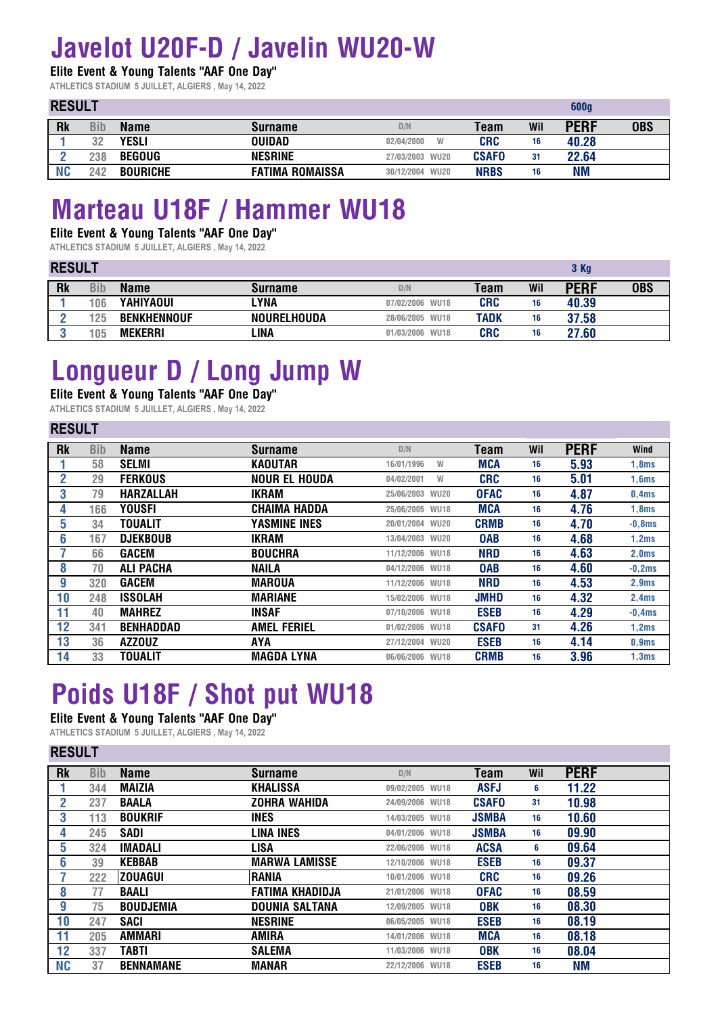# **Javelot U20F-D / Javelin WU20-W**

**Elite Event & Young Talents "AAF One Day"** 

**ATHLETICS STADIUM 5 JUILLET, ALGIERS , May 14, 2022**

### **RESULT**

**RESULT** 

**RESULT** 

| <b>NEJULI</b> |     |                 |                        | ooog            |              |     |             |            |
|---------------|-----|-----------------|------------------------|-----------------|--------------|-----|-------------|------------|
| <b>Rk</b>     | Bib | <b>Name</b>     | <b>Surname</b>         | D/N             | Team         | Wil | <b>PERF</b> | <b>OBS</b> |
|               | 32  | YESLI           | <b>OUIDAD</b>          | 02/04/2000      | <b>CRC</b>   | 16  | 40.28       |            |
|               | 238 | <b>BEGOUG</b>   | <b>NESRINE</b>         | 27/03/2003 WU20 | <b>CSAFO</b> | 31  | 22.64       |            |
| Nſ            | 242 | <b>BOURICHE</b> | <b>FATIMA ROMAISSA</b> | 30/12/2004 WU20 | <b>NRBS</b>  | 16  | ΝM          |            |

**600g**

## **Marteau U18F / Hammer WU18**

### **Elite Event & Young Talents "AAF One Day"**

**ATHLETICS STADIUM 5 JUILLET, ALGIERS , May 14, 2022**

| <b>RESULT</b> |     |                    |                    | 3 Kg            |             |     |             |            |
|---------------|-----|--------------------|--------------------|-----------------|-------------|-----|-------------|------------|
| <b>Rk</b>     | Bib | <b>Name</b>        | Surname            | D/N             | <b>Team</b> | Wil | <b>PERF</b> | <b>OBS</b> |
|               | 106 | <b>YAHIYAOUI</b>   | LYNA               | 07/02/2006 WU18 | <b>CRC</b>  | 16  | 40.39       |            |
|               | 125 | <b>BENKHENNOUF</b> | <b>NOURELHOUDA</b> | 28/06/2005 WU18 | TADK        | 16  | 37.58       |            |
|               | 105 | <b>MEKERRI</b>     | .INA               | 01/03/2006 WU18 | <b>CRC</b>  | 16  | 27.60       |            |

## **Longueur D / Long Jump W**

#### **Elite Event & Young Talents "AAF One Day"**

**ATHLETICS STADIUM 5 JUILLET, ALGIERS , May 14, 2022**

| REJULI    |            |                  |                      |                 |              |     |             |          |
|-----------|------------|------------------|----------------------|-----------------|--------------|-----|-------------|----------|
| <b>Rk</b> | <b>Bib</b> | <b>Name</b>      | <b>Surname</b>       | D/N             | Team         | Wil | <b>PERF</b> | Wind     |
|           | 58         | <b>SELMI</b>     | KAOUTAR              | 16/01/1996<br>W | <b>MCA</b>   | 16  | 5.93        | 1,8ms    |
| 2         | 29         | <b>FERKOUS</b>   | <b>NOUR EL HOUDA</b> | 04/02/2001<br>W | <b>CRC</b>   | 16  | 5.01        | 1,6ms    |
| 3         | 79         | <b>HARZALLAH</b> | <b>IKRAM</b>         | 25/06/2003 WU20 | <b>OFAC</b>  | 16  | 4.87        | 0,4ms    |
|           | 166        | <b>YOUSFI</b>    | <b>CHAIMA HADDA</b>  | 25/06/2005 WU18 | <b>MCA</b>   | 16  | 4.76        | 1,8ms    |
| 5         | 34         | TOUALIT          | YASMINE INES         | 20/01/2004 WU20 | <b>CRMB</b>  | 16  | 4.70        | $-0,8ms$ |
| 6         | 167        | <b>DJEKBOUB</b>  | <b>IKRAM</b>         | 13/04/2003 WU20 | <b>OAB</b>   | 16  | 4.68        | 1,2ms    |
|           | 66         | <b>GACEM</b>     | <b>BOUCHRA</b>       | 11/12/2006 WU18 | <b>NRD</b>   | 16  | 4.63        | 2,0ms    |
| 8         | 70         | <b>ALI PACHA</b> | <b>NAILA</b>         | 04/12/2006 WU18 | <b>OAB</b>   | 16  | 4.60        | $-0,2ms$ |
| 9         | 320        | <b>GACEM</b>     | <b>MAROUA</b>        | 11/12/2006 WU18 | <b>NRD</b>   | 16  | 4.53        | 2,9ms    |
| 10        | 248        | <b>ISSOLAH</b>   | <b>MARIANE</b>       | 15/02/2006 WU18 | <b>JMHD</b>  | 16  | 4.32        | 2,4ms    |
| 11        | 40         | <b>MAHREZ</b>    | <b>INSAF</b>         | 07/10/2006 WU18 | <b>ESEB</b>  | 16  | 4.29        | $-0.4ms$ |
| 12        | 341        | <b>BENHADDAD</b> | <b>AMEL FERIEL</b>   | 01/02/2006 WU18 | <b>CSAFO</b> | 31  | 4.26        | 1,2ms    |
| 13        | 36         | <b>AZZOUZ</b>    | AYA                  | 27/12/2004 WU20 | <b>ESEB</b>  | 16  | 4.14        | 0,9ms    |
| 14        | 33         | TOUALIT          | <b>MAGDA LYNA</b>    | 06/06/2006 WU18 | <b>CRMB</b>  | 16  | 3.96        | 1,3ms    |
|           |            |                  |                      |                 |              |     |             |          |

# **Poids U18F / Shot put WU18**

**Elite Event & Young Talents "AAF One Day"** 

| <b>NLJULI</b> |            |                  |                        |                 |              |     |             |  |
|---------------|------------|------------------|------------------------|-----------------|--------------|-----|-------------|--|
| <b>Rk</b>     | <b>Bib</b> | <b>Name</b>      | <b>Surname</b>         | D/N             | Team         | Wil | <b>PERF</b> |  |
|               | 344        | MAIZIA           | <b>KHALISSA</b>        | 09/02/2005 WU18 | <b>ASFJ</b>  | 6   | 11.22       |  |
|               | 237        | <b>BAALA</b>     | <b>ZOHRA WAHIDA</b>    | 24/09/2006 WU18 | <b>CSAFO</b> | 31  | 10.98       |  |
| 3             | 113        | <b>BOUKRIF</b>   | <b>INES</b>            | 14/03/2005 WU18 | <b>JSMBA</b> | 16  | 10.60       |  |
| 4             | 245        | <b>SADI</b>      | LINA INES              | 04/01/2006 WU18 | <b>JSMBA</b> | 16  | 09.90       |  |
| 5             | 324        | <b>IMADALI</b>   | LISA                   | 22/06/2006 WU18 | <b>ACSA</b>  | 6   | 09.64       |  |
| 6             | 39         | <b>KEBBAB</b>    | <b>MARWA LAMISSE</b>   | 12/10/2006 WU18 | <b>ESEB</b>  | 16  | 09.37       |  |
|               | 222        | <b>ZOUAGUI</b>   | <b>RANIA</b>           | 10/01/2006 WU18 | <b>CRC</b>   | 16  | 09.26       |  |
| 8             | 77         | <b>BAALI</b>     | <b>FATIMA KHADIDJA</b> | 21/01/2006 WU18 | <b>OFAC</b>  | 16  | 08.59       |  |
| g             | 75         | <b>BOUDJEMIA</b> | <b>DOUNIA SALTANA</b>  | 12/09/2005 WU18 | <b>OBK</b>   | 16  | 08.30       |  |
| 10            | 247        | SACI             | <b>NESRINE</b>         | 06/05/2005 WU18 | <b>ESEB</b>  | 16  | 08.19       |  |
| 11            | 205        | AMMARI           | AMIRA                  | 14/01/2006 WU18 | <b>MCA</b>   | 16  | 08.18       |  |
| 12            | 337        | <b>TABTI</b>     | <b>SALEMA</b>          | 11/03/2006 WU18 | <b>OBK</b>   | 16  | 08.04       |  |
| <b>NC</b>     | 37         | <b>BENNAMANE</b> | <b>MANAR</b>           | 22/12/2006 WU18 | <b>ESEB</b>  | 16  | ΝM          |  |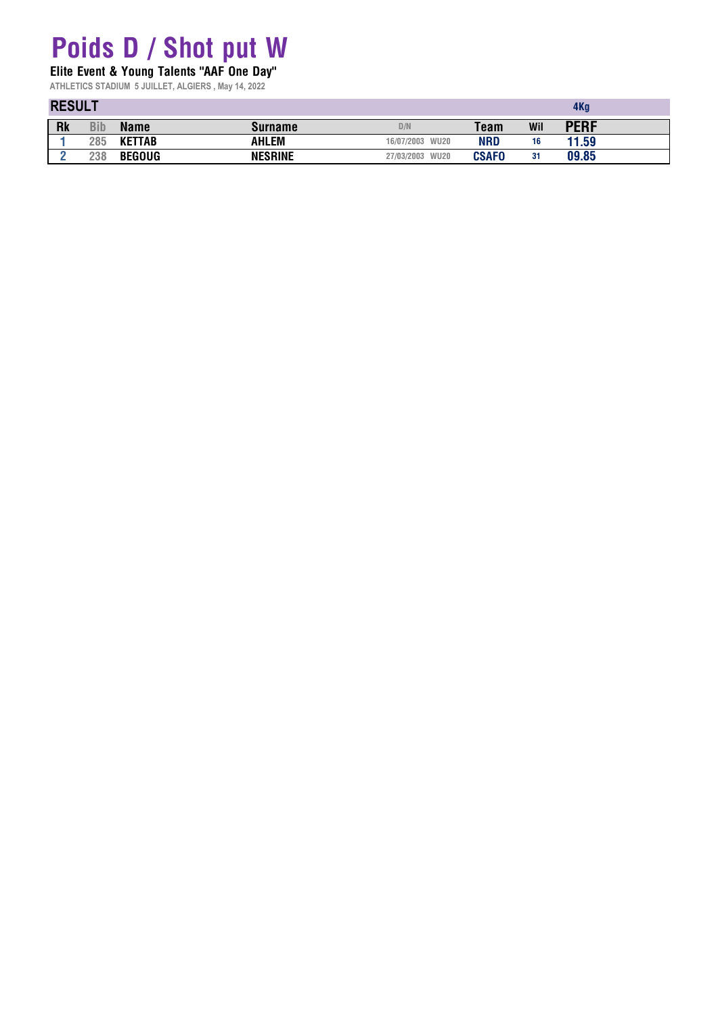### **Poids D / Shot put W**

**Elite Event & Young Talents "AAF One Day"** 

|           | <b>RESULT</b> |               |                |                           |              |     |             |  |
|-----------|---------------|---------------|----------------|---------------------------|--------------|-----|-------------|--|
| <b>Rk</b> | Bib           | <b>Name</b>   | Surname        | D/N                       | Team         | Wil | <b>PERF</b> |  |
|           | 285           | <b>KETTAB</b> | AHLEM          | 16/07/2003<br><b>WU20</b> | NRD          | 16  | 11.59       |  |
|           | 238           | <b>BEGOUG</b> | <b>NESRINE</b> | 27/03/2003 WU20           | <b>CSAFO</b> | 31  | 09.85       |  |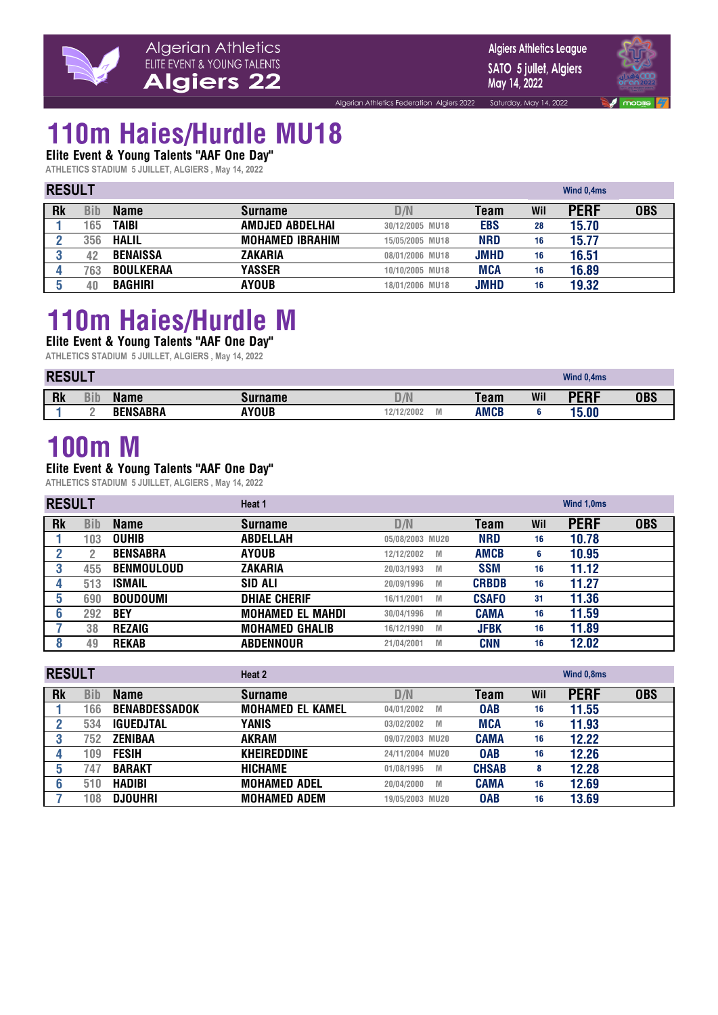

Saturday, May 14, 2022



## **110m Haies/Hurdle MU18**

**Elite Event & Young Talents "AAF One Day"**

**ATHLETICS STADIUM 5 JUILLET, ALGIERS , May 14, 2022**

| <b>RESULT</b> |     |                  |                        | Wind 0,4ms      |             |     |             |            |
|---------------|-----|------------------|------------------------|-----------------|-------------|-----|-------------|------------|
| <b>Rk</b>     | Bib | <b>Name</b>      | <b>Surname</b>         | D/N             | Team        | Wil | <b>PERF</b> | <b>OBS</b> |
|               | 165 | <b>TAIBI</b>     | AMDJED ABDELHAI        | 30/12/2005 MU18 | <b>EBS</b>  | 28  | 15.70       |            |
|               | 356 | <b>HALIL</b>     | <b>MOHAMED IBRAHIM</b> | 15/05/2005 MU18 | <b>NRD</b>  | 16  | 15.77       |            |
|               | 42  | <b>BENAISSA</b>  | ZAKARIA                | 08/01/2006 MU18 | <b>JMHD</b> | 16  | 16.51       |            |
|               | 763 | <b>BOULKERAA</b> | YASSER                 | 10/10/2005 MU18 | <b>MCA</b>  | 16  | 16.89       |            |
|               |     | <b>BAGHIRI</b>   | <b>AYOUB</b>           | 18/01/2006 MU18 | <b>JMHD</b> | 16  | 19.32       |            |

Algerian Athletics Federation Algiers 2022

## **110m Haies/Hurdle M**

**Elite Event & Young Talents "AAF One Day" ATHLETICS STADIUM 5 JUILLET, ALGIERS , May 14, 2022**

|           | <b>RESUI</b> |                 |         |                   |             |     |             |     |
|-----------|--------------|-----------------|---------|-------------------|-------------|-----|-------------|-----|
| <b>Rk</b> | <b>Bib</b>   | <b>Name</b>     | Surname | D/N               | <b>Team</b> | Wil | DEDE<br>EN. | OBS |
|           |              | <b>BENSABRA</b> | AYOUB   | 12/12/2002<br>IVI | <b>AMCB</b> |     | 15.00       |     |

### **100m M**

#### **Elite Event & Young Talents "AAF One Day"**

|           | <b>RESULT</b> |                   | Heat 1                  |                 |              |     | Wind 1,0ms  |            |  |
|-----------|---------------|-------------------|-------------------------|-----------------|--------------|-----|-------------|------------|--|
| <b>Rk</b> | Bib           | <b>Name</b>       | <b>Surname</b>          | D/N             | Team         | Wil | <b>PERF</b> | <b>OBS</b> |  |
|           | 103           | <b>OUHIB</b>      | <b>ABDELLAH</b>         | 05/08/2003 MU20 | <b>NRD</b>   | 16  | 10.78       |            |  |
|           |               | <b>BENSABRA</b>   | <b>AYOUB</b>            | 12/12/2002<br>M | <b>AMCB</b>  | 6   | 10.95       |            |  |
|           | 455           | <b>BENMOULOUD</b> | <b>ZAKARIA</b>          | 20/03/1993<br>M | <b>SSM</b>   | 16  | 11.12       |            |  |
|           | 513           | <b>ISMAIL</b>     | SID ALI                 | 20/09/1996<br>M | <b>CRBDB</b> | 16  | 11.27       |            |  |
|           | 690           | <b>BOUDOUMI</b>   | <b>DHIAE CHERIF</b>     | 16/11/2001<br>M | <b>CSAFO</b> | 31  | 11.36       |            |  |
|           | 292           | <b>BEY</b>        | <b>MOHAMED EL MAHDI</b> | 30/04/1996<br>M | <b>CAMA</b>  | 16  | 11.59       |            |  |
|           | 38            | <b>REZAIG</b>     | <b>MOHAMED GHALIB</b>   | 16/12/1990<br>M | <b>JFBK</b>  | 16  | 11.89       |            |  |
|           | 49            | <b>REKAB</b>      | <b>ABDENNOUR</b>        | 21/04/2001<br>M | <b>CNN</b>   | 16  | 12.02       |            |  |

|           | <b>RESULT</b> |                      | Heat 2                  |                 |              | Wind 0,8ms |             |            |
|-----------|---------------|----------------------|-------------------------|-----------------|--------------|------------|-------------|------------|
| <b>Rk</b> | Bib           | <b>Name</b>          | <b>Surname</b>          | D/N             | <b>Team</b>  | Wil        | <b>PERF</b> | <b>OBS</b> |
|           | 166           | <b>BENABDESSADOK</b> | <b>MOHAMED EL KAMEL</b> | 04/01/2002<br>M | <b>OAB</b>   | 16         | 11.55       |            |
|           | 534           | <b>IGUEDJTAL</b>     | YANIS                   | 03/02/2002<br>M | <b>MCA</b>   | 16         | 11.93       |            |
|           | 752           | <b>ZENIBAA</b>       | <b>AKRAM</b>            | 09/07/2003 MU20 | <b>CAMA</b>  | 16         | 12.22       |            |
|           | 109           | <b>FESIH</b>         | <b>KHEIREDDINE</b>      | 24/11/2004 MU20 | <b>OAB</b>   | 16         | 12.26       |            |
| 5         | 747           | <b>BARAKT</b>        | <b>HICHAME</b>          | 01/08/1995<br>M | <b>CHSAB</b> | 8          | 12.28       |            |
|           | 510           | <b>HADIBI</b>        | <b>MOHAMED ADEL</b>     | 20/04/2000<br>M | <b>CAMA</b>  | 16         | 12.69       |            |
|           | 108           | <b>DJOUHRI</b>       | <b>MOHAMED ADEM</b>     | 19/05/2003 MU20 | <b>OAB</b>   | 16         | 13.69       |            |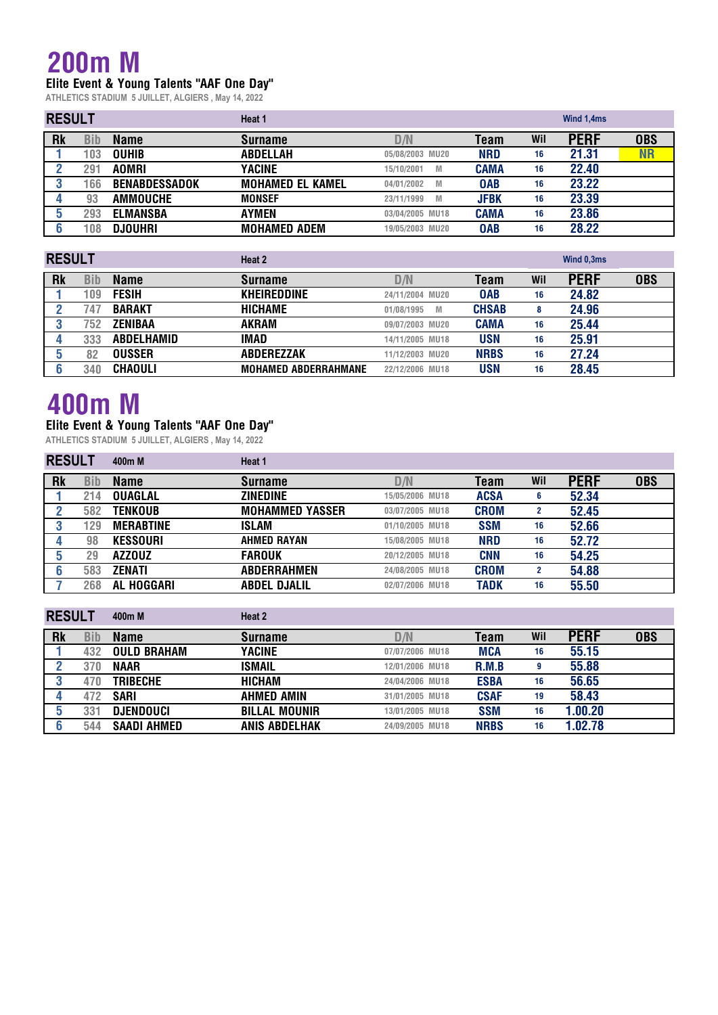### **200m M**

**Elite Event & Young Talents "AAF One Day"**

**ATHLETICS STADIUM 5 JUILLET, ALGIERS , May 14, 2022**

| <b>RESULT</b> |     |                      | Heat 1                  |                 |             |     | Wind 1,4ms  |            |  |
|---------------|-----|----------------------|-------------------------|-----------------|-------------|-----|-------------|------------|--|
| <b>Rk</b>     | Bib | <b>Name</b>          | <b>Surname</b>          | D/N             | Team        | Wil | <b>PERF</b> | <b>OBS</b> |  |
|               | 103 | <b>OUHIB</b>         | <b>ABDELLAH</b>         | 05/08/2003 MU20 | <b>NRD</b>  | 16  | 21.31       | $\sf{NR}$  |  |
|               | 291 | <b>AOMRI</b>         | YACINE                  | 15/10/2001<br>M | <b>CAMA</b> | 16  | 22.40       |            |  |
|               | 166 | <b>BENABDESSADOK</b> | <b>MOHAMED EL KAMEL</b> | 04/01/2002<br>M | <b>OAB</b>  | 16  | 23.22       |            |  |
|               | 93  | AMMOUCHE             | <b>MONSEF</b>           | 23/11/1999<br>M | <b>JFBK</b> | 16  | 23.39       |            |  |
|               | 293 | <b>ELMANSBA</b>      | <b>AYMEN</b>            | 03/04/2005 MU18 | <b>CAMA</b> | 16  | 23.86       |            |  |
|               | 108 | <b>DJOUHRI</b>       | <b>MOHAMED ADEM</b>     | 19/05/2003 MU20 | <b>OAB</b>  | 16  | 28.22       |            |  |

| <b>RESULT</b> |     |                   | Heat 2                      |                 |              |     | Wind 0,3ms  |            |  |
|---------------|-----|-------------------|-----------------------------|-----------------|--------------|-----|-------------|------------|--|
| <b>Rk</b>     | Bib | <b>Name</b>       | <b>Surname</b>              | D/N             | Team         | Wil | <b>PERF</b> | <b>OBS</b> |  |
|               | 109 | <b>FESIH</b>      | <b>KHEIREDDINE</b>          | 24/11/2004 MU20 | <b>OAB</b>   | 16  | 24.82       |            |  |
|               | 747 | <b>BARAKT</b>     | <b>HICHAME</b>              | 01/08/1995<br>M | <b>CHSAB</b> | 8   | 24.96       |            |  |
|               | 752 | ZENIBAA           | <b>AKRAM</b>                | 09/07/2003 MU20 | <b>CAMA</b>  | 16  | 25.44       |            |  |
|               | 333 | <b>ABDELHAMID</b> | IMAD                        | 14/11/2005 MU18 | <b>USN</b>   | 16  | 25.91       |            |  |
|               | 82  | <b>OUSSER</b>     | <b>ABDEREZZAK</b>           | 11/12/2003 MU20 | <b>NRBS</b>  | 16  | 27.24       |            |  |
|               | 340 | <b>CHAOULI</b>    | <b>MOHAMED ABDERRAHMANE</b> | 22/12/2006 MU18 | <b>USN</b>   | 16  | 28.45       |            |  |

## **400m M**

#### **Elite Event & Young Talents "AAF One Day"**

| <b>RESULT</b> |     | 400m M            | Heat 1                 |                 |             |                |             |            |
|---------------|-----|-------------------|------------------------|-----------------|-------------|----------------|-------------|------------|
| <b>Rk</b>     | Bib | <b>Name</b>       | <b>Surname</b>         | D/N             | Team        | Wil            | <b>PERF</b> | <b>OBS</b> |
|               | 214 | <b>OUAGLAL</b>    | <b>ZINEDINE</b>        | 15/05/2006 MU18 | <b>ACSA</b> | 6              | 52.34       |            |
|               | 582 | <b>TENKOUB</b>    | <b>MOHAMMED YASSER</b> | 03/07/2005 MU18 | <b>CROM</b> | $\mathbf{2}$   | 52.45       |            |
|               | 129 | <b>MERABTINE</b>  | <b>ISLAM</b>           | 01/10/2005 MU18 | <b>SSM</b>  | 16             | 52.66       |            |
|               | 98  | <b>KESSOURI</b>   | <b>AHMED RAYAN</b>     | 15/08/2005 MU18 | <b>NRD</b>  | 16             | 52.72       |            |
|               | 29  | <b>AZZOUZ</b>     | <b>FAROUK</b>          | 20/12/2005 MU18 | <b>CNN</b>  | 16             | 54.25       |            |
|               | 583 | ZENATI            | <b>ABDERRAHMEN</b>     | 24/08/2005 MU18 | <b>CROM</b> | $\overline{2}$ | 54.88       |            |
|               | 268 | <b>AL HOGGARI</b> | <b>ABDEL DJALIL</b>    | 02/07/2006 MU18 | <b>TADK</b> | 16             | 55.50       |            |

| <b>RESULT</b> |     | 400m M             | Heat 2               |                 |             |     |             |            |
|---------------|-----|--------------------|----------------------|-----------------|-------------|-----|-------------|------------|
| <b>Rk</b>     | Bib | <b>Name</b>        | <b>Surname</b>       | D/N             | Team        | Wil | <b>PERF</b> | <b>OBS</b> |
|               | 432 | <b>OULD BRAHAM</b> | YACINE               | 07/07/2006 MU18 | <b>MCA</b>  | 16  | 55.15       |            |
|               | 370 | <b>NAAR</b>        | <b>ISMAIL</b>        | 12/01/2006 MU18 | R.M.B       | 9   | 55.88       |            |
|               | 470 | <b>TRIBECHE</b>    | <b>HICHAM</b>        | 24/04/2006 MU18 | <b>ESBA</b> | 16  | 56.65       |            |
|               | 472 | <b>SARI</b>        | <b>AHMED AMIN</b>    | 31/01/2005 MU18 | <b>CSAF</b> | 19  | 58.43       |            |
|               | 331 | DJENDOUCI          | <b>BILLAL MOUNIR</b> | 13/01/2005 MU18 | <b>SSM</b>  | 16  | 1.00.20     |            |
|               | 544 | <b>SAADI AHMED</b> | <b>ANIS ABDELHAK</b> | 24/09/2005 MU18 | <b>NRBS</b> | 16  | 1.02.78     |            |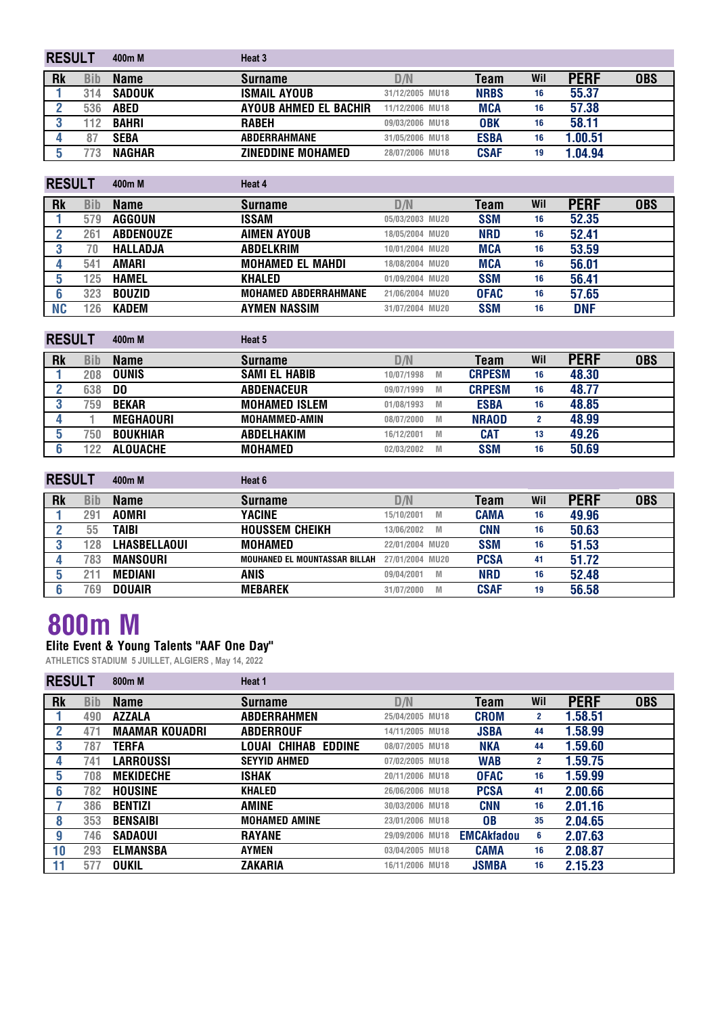| <b>RESULT</b> |     | 400 <sub>m</sub> M | Heat 3                   |                 |             |     |             |            |
|---------------|-----|--------------------|--------------------------|-----------------|-------------|-----|-------------|------------|
| <b>Rk</b>     | Bib | <b>Name</b>        | <b>Surname</b>           | D/N             | Team        | Wil | <b>PERF</b> | <b>OBS</b> |
|               | 314 | <b>SADOUK</b>      | <b>ISMAIL AYOUB</b>      | 31/12/2005 MU18 | <b>NRBS</b> | 16  | 55.37       |            |
|               | 536 | <b>ABED</b>        | AYOUB AHMED EL BACHIR    | 11/12/2006 MU18 | MCA         | 16  | 57.38       |            |
|               | 12  | <b>BAHRI</b>       | <b>RABEH</b>             | 09/03/2006 MU18 | <b>OBK</b>  | 16  | 58.11       |            |
|               |     | <b>SEBA</b>        | <b>ABDERRAHMANE</b>      | 31/05/2006 MU18 | <b>ESBA</b> | 16  | 1.00.51     |            |
|               | 73  | <b>NAGHAR</b>      | <b>ZINEDDINE MOHAMED</b> | 28/07/2006 MU18 | <b>CSAF</b> | 19  | 1.04.94     |            |

| <b>RESULT</b> |     | 400m M           | Heat 4                      |                 |             |     |             |            |
|---------------|-----|------------------|-----------------------------|-----------------|-------------|-----|-------------|------------|
| <b>Rk</b>     | Bib | <b>Name</b>      | <b>Surname</b>              | D/N             | Team        | Wil | <b>PERF</b> | <b>OBS</b> |
|               | 579 | AGGOUN           | ISSAM                       | 05/03/2003 MU20 | <b>SSM</b>  | 16  | 52.35       |            |
|               | 261 | <b>ABDENOUZE</b> | <b>AIMEN AYOUB</b>          | 18/05/2004 MU20 | <b>NRD</b>  | 16  | 52.41       |            |
|               | 70  | <b>HALLADJA</b>  | <b>ABDELKRIM</b>            | 10/01/2004 MU20 | <b>MCA</b>  | 16  | 53.59       |            |
|               | 541 | <b>AMARI</b>     | <b>MOHAMED EL MAHDI</b>     | 18/08/2004 MU20 | <b>MCA</b>  | 16  | 56.01       |            |
| 5             | 125 | <b>HAMEL</b>     | <b>KHALED</b>               | 01/09/2004 MU20 | <b>SSM</b>  | 16  | 56.41       |            |
|               | 323 | <b>BOUZID</b>    | <b>MOHAMED ABDERRAHMANE</b> | 21/06/2004 MU20 | <b>OFAC</b> | 16  | 57.65       |            |
| NC            | 126 | <b>KADEM</b>     | <b>AYMEN NASSIM</b>         | 31/07/2004 MU20 | <b>SSM</b>  | 16  | <b>DNF</b>  |            |

| <b>RESULT</b> |     | 400m M           | Heat 5               |                 |               |              |             |            |
|---------------|-----|------------------|----------------------|-----------------|---------------|--------------|-------------|------------|
| <b>Rk</b>     | Bib | <b>Name</b>      | <b>Surname</b>       | D/N             | Team          | Wil          | <b>PERF</b> | <b>OBS</b> |
|               | 208 | <b>OUNIS</b>     | <b>SAMI EL HABIB</b> | 10/07/1998<br>M | <b>CRPESM</b> | 16           | 48.30       |            |
|               | 638 | DO               | <b>ABDENACEUR</b>    | 09/07/1999<br>M | <b>CRPESM</b> | 16           | 48.77       |            |
|               | 759 | <b>BEKAR</b>     | <b>MOHAMED ISLEM</b> | 01/08/1993<br>M | <b>ESBA</b>   | 16           | 48.85       |            |
|               |     | <b>MEGHAOURI</b> | <b>MOHAMMED-AMIN</b> | 08/07/2000<br>M | <b>NRAOD</b>  | $\mathbf{2}$ | 48.99       |            |
|               | 750 | <b>BOUKHIAR</b>  | <b>ABDELHAKIM</b>    | 16/12/2001<br>M | <b>CAT</b>    | 13           | 49.26       |            |
|               | 122 | <b>ALOUACHE</b>  | <b>MOHAMED</b>       | 02/03/2002<br>M | <b>SSM</b>    | 16           | 50.69       |            |

| <b>RESULT</b> |     | 400m M          | Heat 6                        |                 |   |             |     |             |            |
|---------------|-----|-----------------|-------------------------------|-----------------|---|-------------|-----|-------------|------------|
| <b>Rk</b>     | Bib | Name            | <b>Surname</b>                | D/N             |   | Team        | Wil | <b>PERF</b> | <b>OBS</b> |
|               | 291 | <b>AOMRI</b>    | YACINE                        | 15/10/2001      | M | <b>CAMA</b> | 16  | 49.96       |            |
|               | 55  | TAIBI           | <b>HOUSSEM CHEIKH</b>         | 13/06/2002      | M | <b>CNN</b>  | 16  | 50.63       |            |
|               | 128 | LHASBELLAOUI    | <b>MOHAMED</b>                | 22/01/2004 MU20 |   | <b>SSM</b>  | 16  | 51.53       |            |
|               | 783 | <b>MANSOURI</b> | MOUHANED EL MOUNTASSAR BILLAH | 27/01/2004 MU20 |   | <b>PCSA</b> | 41  | 51.72       |            |
|               |     | <b>MEDIANI</b>  | <b>ANIS</b>                   | 09/04/2001      | M | <b>NRD</b>  | 16  | 52.48       |            |
|               | 769 | <b>DOUAIR</b>   | <b>MEBAREK</b>                | 31/07/2000      | M | <b>CSAF</b> | 19  | 56.58       |            |

### **800m M**

#### **Elite Event & Young Talents "AAF One Day"**

| <b>RESULT</b> |            | 800m M                | Heat 1               |                 |                   |              |             |            |
|---------------|------------|-----------------------|----------------------|-----------------|-------------------|--------------|-------------|------------|
| <b>Rk</b>     | <b>Bib</b> | <b>Name</b>           | <b>Surname</b>       | D/N             | Team              | Wil          | <b>PERF</b> | <b>OBS</b> |
|               | 490        | <b>AZZALA</b>         | <b>ABDERRAHMEN</b>   | 25/04/2005 MU18 | <b>CROM</b>       | $\mathbf{2}$ | 1.58.51     |            |
|               | 471        | <b>MAAMAR KOUADRI</b> | <b>ABDERROUF</b>     | 14/11/2005 MU18 | <b>JSBA</b>       | 44           | 1.58.99     |            |
| 3             | 787        | TERFA                 | LOUAI CHIHAB EDDINE  | 08/07/2005 MU18 | <b>NKA</b>        | 44           | 1.59.60     |            |
| 4             | 741        | LARROUSSI             | <b>SEYYID AHMED</b>  | 07/02/2005 MU18 | <b>WAB</b>        | 2            | 1.59.75     |            |
| 5             | 708        | <b>MEKIDECHE</b>      | ISHAK                | 20/11/2006 MU18 | <b>OFAC</b>       | 16           | 1.59.99     |            |
| 6             | 782        | <b>HOUSINE</b>        | <b>KHALED</b>        | 26/06/2006 MU18 | <b>PCSA</b>       | 41           | 2.00.66     |            |
|               | 386        | <b>BENTIZI</b>        | AMINE                | 30/03/2006 MU18 | <b>CNN</b>        | 16           | 2.01.16     |            |
| 8             | 353        | <b>BENSAIBI</b>       | <b>MOHAMED AMINE</b> | 23/01/2006 MU18 | <b>OB</b>         | 35           | 2.04.65     |            |
| g             | 746        | <b>SADAOUI</b>        | <b>RAYANE</b>        | 29/09/2006 MU18 | <b>EMCAkfadou</b> | 6            | 2.07.63     |            |
| 10            | 293        | <b>ELMANSBA</b>       | AYMEN                | 03/04/2005 MU18 | <b>CAMA</b>       | 16           | 2.08.87     |            |
|               | 577        | <b>OUKIL</b>          | ZAKARIA              | 16/11/2006 MU18 | <b>JSMBA</b>      | 16           | 2.15.23     |            |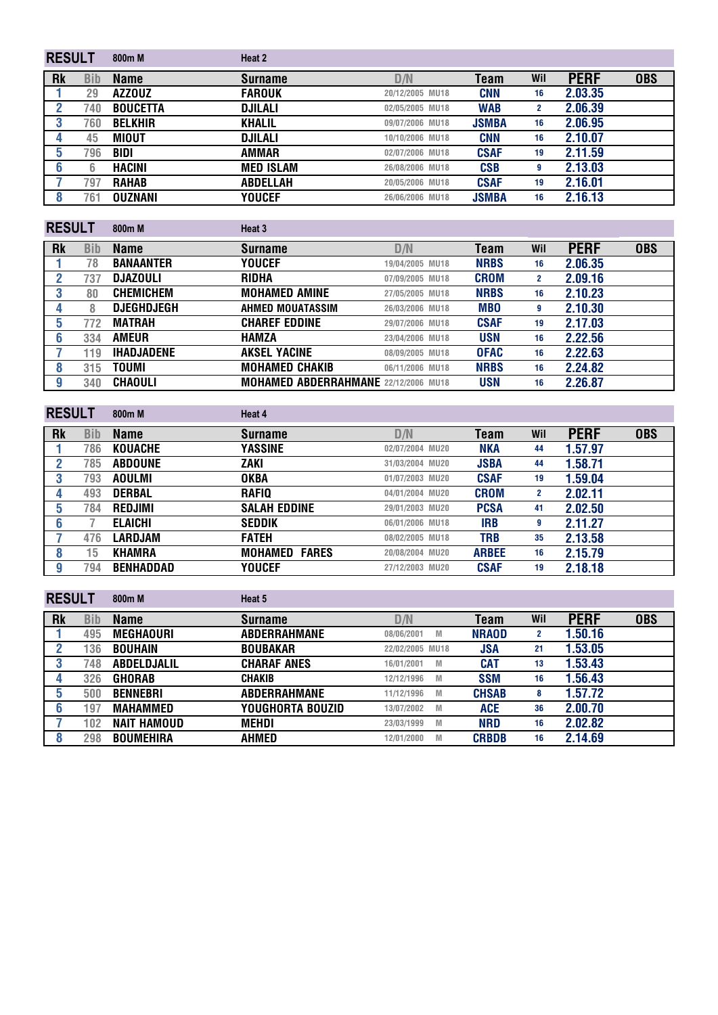| <b>RESULT</b> |            | 800 <sub>m</sub> M | Heat 2           |                 |              |     |             |            |
|---------------|------------|--------------------|------------------|-----------------|--------------|-----|-------------|------------|
| <b>Rk</b>     | <b>Bib</b> | <b>Name</b>        | <b>Surname</b>   | D/N             | Team         | Wil | <b>PERF</b> | <b>OBS</b> |
|               | 29         | <b>AZZOUZ</b>      | <b>FAROUK</b>    | 20/12/2005 MU18 | <b>CNN</b>   | 16  | 2.03.35     |            |
|               | 740        | <b>BOUCETTA</b>    | <b>DJILALI</b>   | 02/05/2005 MU18 | <b>WAB</b>   | 2   | 2.06.39     |            |
| 3             | 760        | <b>BELKHIR</b>     | <b>KHALIL</b>    | 09/07/2006 MU18 | <b>JSMBA</b> | 16  | 2.06.95     |            |
|               | 45         | MIOUT              | DJILALI          | 10/10/2006 MU18 | <b>CNN</b>   | 16  | 2.10.07     |            |
| 5             | 796        | <b>BIDI</b>        | <b>AMMAR</b>     | 02/07/2006 MU18 | <b>CSAF</b>  | 19  | 2.11.59     |            |
| 6             | 6          | HACINI             | <b>MED ISLAM</b> | 26/08/2006 MU18 | <b>CSB</b>   | 9   | 2.13.03     |            |
|               | 797        | <b>RAHAB</b>       | <b>ABDELLAH</b>  | 20/05/2006 MU18 | <b>CSAF</b>  | 19  | 2.16.01     |            |
|               | 761        | <b>OUZNANI</b>     | YOUCEF           | 26/06/2006 MU18 | <b>JSMBA</b> | 16  | 2.16.13     |            |
| ------        |            |                    |                  |                 |              |     |             |            |

| <b>RESULT</b> |     | 800m M            | Heat 3                                      |                 |             |     |             |            |
|---------------|-----|-------------------|---------------------------------------------|-----------------|-------------|-----|-------------|------------|
| <b>Rk</b>     | Bib | <b>Name</b>       | <b>Surname</b>                              | D/N             | Team        | Wil | <b>PERF</b> | <b>OBS</b> |
|               | 78  | <b>BANAANTER</b>  | <b>YOUCEF</b>                               | 19/04/2005 MU18 | <b>NRBS</b> | 16  | 2.06.35     |            |
|               | 737 | <b>DJAZOULI</b>   | <b>RIDHA</b>                                | 07/09/2005 MU18 | <b>CROM</b> | 2   | 2.09.16     |            |
|               | 80  | <b>CHEMICHEM</b>  | <b>MOHAMED AMINE</b>                        | 27/05/2005 MU18 | <b>NRBS</b> | 16  | 2.10.23     |            |
|               | 8   | <b>DJEGHDJEGH</b> | AHMED MOUATASSIM                            | 26/03/2006 MU18 | <b>MBO</b>  | g   | 2.10.30     |            |
| 5             | 772 | MATRAH            | <b>CHAREF EDDINE</b>                        | 29/07/2006 MU18 | <b>CSAF</b> | 19  | 2.17.03     |            |
| 6             | 334 | <b>AMEUR</b>      | <b>HAMZA</b>                                | 23/04/2006 MU18 | <b>USN</b>  | 16  | 2.22.56     |            |
|               | 119 | <b>IHADJADENE</b> | <b>AKSEL YACINE</b>                         | 08/09/2005 MU18 | <b>OFAC</b> | 16  | 2.22.63     |            |
| 8             | 315 | TOUMI             | <b>MOHAMED CHAKIB</b>                       | 06/11/2006 MU18 | <b>NRBS</b> | 16  | 2.24.82     |            |
| y             | 340 | <b>CHAOULI</b>    | <b>MOHAMED ABDERRAHMANE 22/12/2006 MU18</b> |                 | <b>USN</b>  | 16  | 2.26.87     |            |

| <b>RESULT</b> |            | 800m M           | Heat 4                  |                 |              |     |             |            |
|---------------|------------|------------------|-------------------------|-----------------|--------------|-----|-------------|------------|
| <b>Rk</b>     | <b>Bib</b> | <b>Name</b>      | <b>Surname</b>          | D/N             | <b>Team</b>  | Wil | <b>PERF</b> | <b>OBS</b> |
|               | 786        | <b>KOUACHE</b>   | YASSINE                 | 02/07/2004 MU20 | NKA          | 44  | 1.57.97     |            |
|               | 785        | <b>ABDOUNE</b>   | ZAKI                    | 31/03/2004 MU20 | <b>JSBA</b>  | 44  | 1.58.71     |            |
|               | 793        | <b>AOULMI</b>    | <b>OKBA</b>             | 01/07/2003 MU20 | <b>CSAF</b>  | 19  | 1.59.04     |            |
|               | 493        | <b>DERBAL</b>    | <b>RAFIQ</b>            | 04/01/2004 MU20 | <b>CROM</b>  | 2   | 2.02.11     |            |
| 5             | 784        | <b>REDJIMI</b>   | <b>SALAH EDDINE</b>     | 29/01/2003 MU20 | <b>PCSA</b>  | 41  | 2.02.50     |            |
| b             |            | <b>ELAICHI</b>   | <b>SEDDIK</b>           | 06/01/2006 MU18 | <b>IRB</b>   | 9   | 2.11.27     |            |
|               | 476        | LARDJAM          | <b>FATEH</b>            | 08/02/2005 MU18 | TRB          | 35  | 2.13.58     |            |
| 8             | 15         | <b>KHAMRA</b>    | MOHAMED<br><b>FARES</b> | 20/08/2004 MU20 | <b>ARBEE</b> | 16  | 2.15.79     |            |
| g             | 794        | <b>BENHADDAD</b> | <b>YOUCEF</b>           | 27/12/2003 MU20 | <b>CSAF</b>  | 19  | 2.18.18     |            |

| <b>RESULT</b> |     | 800m M             | Heat 5              |                        |              |     |             |            |
|---------------|-----|--------------------|---------------------|------------------------|--------------|-----|-------------|------------|
| <b>Rk</b>     | Bib | <b>Name</b>        | <b>Surname</b>      | D/N                    | Team         | Wil | <b>PERF</b> | <b>OBS</b> |
|               | 495 | <b>MEGHAOURI</b>   | <b>ABDERRAHMANE</b> | 08/06/2001<br>M        | <b>NRAOD</b> | 2   | 1.50.16     |            |
|               | 136 | <b>BOUHAIN</b>     | <b>BOUBAKAR</b>     | 22/02/2005 MU18        | <b>JSA</b>   | 21  | 1.53.05     |            |
|               | 748 | <b>ABDELDJALIL</b> | <b>CHARAF ANES</b>  | 16/01/2001<br>M        | CAT          | 13  | 1.53.43     |            |
|               | 326 | <b>GHORAB</b>      | <b>CHAKIB</b>       | 12/12/1996<br>M        | <b>SSM</b>   | 16  | 1.56.43     |            |
|               | 500 | <b>BENNEBRI</b>    | <b>ABDERRAHMANE</b> | 11/12/1996<br><b>M</b> | <b>CHSAB</b> | 8   | 1.57.72     |            |
|               | 197 | <b>MAHAMMED</b>    | YOUGHORTA BOUZID    | 13/07/2002<br>M        | <b>ACE</b>   | 36  | 2.00.70     |            |
|               | 102 | <b>NAIT HAMOUD</b> | MEHDI               | 23/03/1999<br>M        | <b>NRD</b>   | 16  | 2.02.82     |            |
|               | 298 | <b>BOUMEHIRA</b>   | AHMED               | 12/01/2000<br>M        | <b>CRBDB</b> | 16  | 2.14.69     |            |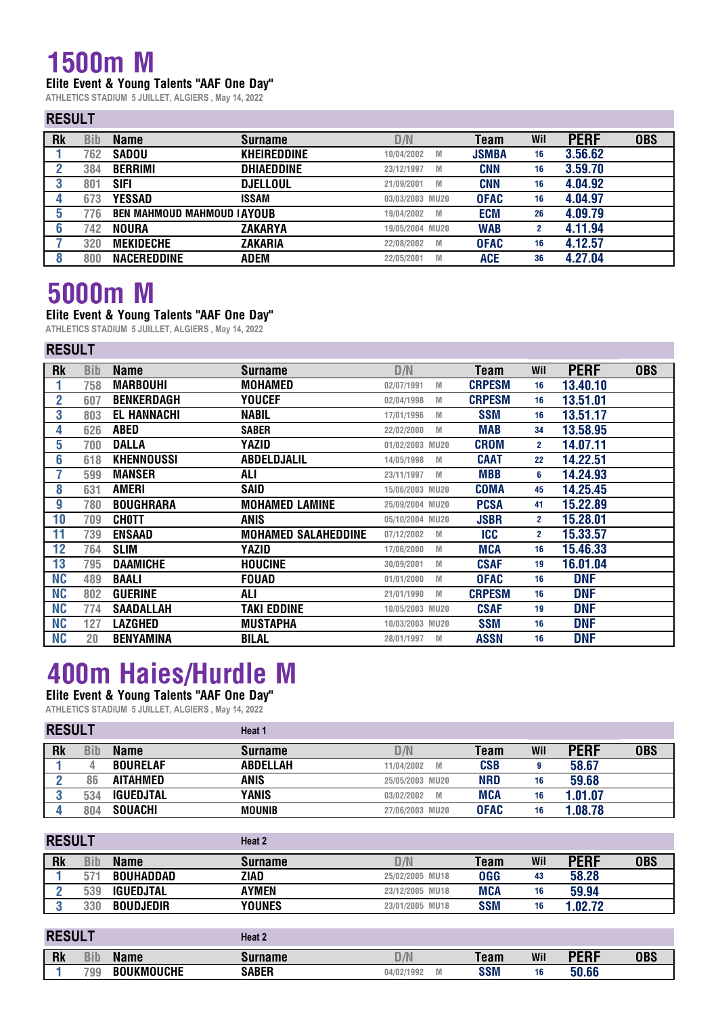### **1500m M**

#### **Elite Event & Young Talents "AAF One Day"**

**ATHLETICS STADIUM 5 JUILLET, ALGIERS , May 14, 2022**

#### **RESULT**

| <b>Rk</b> | Bib | <b>Name</b>                        | <b>Surname</b>     | D/N             | Team         | Wil | <b>PERF</b> | <b>OBS</b> |
|-----------|-----|------------------------------------|--------------------|-----------------|--------------|-----|-------------|------------|
|           | 762 | <b>SADOU</b>                       | <b>KHEIREDDINE</b> | 10/04/2002<br>M | <b>JSMBA</b> | 16  | 3.56.62     |            |
|           | 384 | <b>BERRIMI</b>                     | <b>DHIAEDDINE</b>  | 23/12/1997<br>M | <b>CNN</b>   | 16  | 3.59.70     |            |
|           | 801 | <b>SIFI</b>                        | <b>DJELLOUL</b>    | 21/09/2001<br>M | <b>CNN</b>   | 16  | 4.04.92     |            |
|           | 673 | <b>YESSAD</b>                      | <b>ISSAM</b>       | 03/03/2003 MU20 | <b>OFAC</b>  | 16  | 4.04.97     |            |
|           | 776 | <b>BEN MAHMOUD MAHMOUD I AYOUB</b> |                    | 19/04/2002<br>M | <b>ECM</b>   | 26  | 4.09.79     |            |
|           | 742 | <b>NOURA</b>                       | <b>ZAKARYA</b>     | 19/05/2004 MU20 | <b>WAB</b>   |     | 4.11.94     |            |
|           | 320 | <b>MEKIDECHE</b>                   | <b>ZAKARIA</b>     | 22/08/2002<br>M | <b>OFAC</b>  | 16  | 4.12.57     |            |
|           | 800 | <b>NACEREDDINE</b>                 | ADEM               | 22/05/2001<br>M | ACE          | 36  | 4.27.04     |            |

## **5000m M**

### **Elite Event & Young Talents "AAF One Day"**

**ATHLETICS STADIUM 5 JUILLET, ALGIERS , May 14, 2022**

|                  | <b>RESULT</b> |                    |                            |                        |               |              |             |            |  |  |  |  |
|------------------|---------------|--------------------|----------------------------|------------------------|---------------|--------------|-------------|------------|--|--|--|--|
| <b>Rk</b>        | <b>Bib</b>    | <b>Name</b>        | <b>Surname</b>             | D/N                    | <b>Team</b>   | Wil          | <b>PERF</b> | <b>OBS</b> |  |  |  |  |
|                  | 758           | <b>MARBOUHI</b>    | <b>MOHAMED</b>             | 02/07/1991<br>M        | <b>CRPESM</b> | 16           | 13.40.10    |            |  |  |  |  |
| $\mathbf{2}$     | 607           | <b>BENKERDAGH</b>  | YOUCEF                     | 02/04/1998<br>M        | <b>CRPESM</b> | 16           | 13.51.01    |            |  |  |  |  |
| 3                | 803           | <b>EL HANNACHI</b> | <b>NABIL</b>               | 17/01/1996<br>M        | <b>SSM</b>    | 16           | 13.51.17    |            |  |  |  |  |
| 4                | 626           | <b>ABED</b>        | <b>SABER</b>               | 22/02/2000<br>M        | <b>MAB</b>    | 34           | 13.58.95    |            |  |  |  |  |
| 5                | 700           | <b>DALLA</b>       | YAZID                      | 01/02/2003 MU20        | <b>CROM</b>   | $2^{\circ}$  | 14.07.11    |            |  |  |  |  |
| 6                | 618           | KHENNOUSSI         | <b>ABDELDJALIL</b>         | 14/05/1998<br>M        | <b>CAAT</b>   | 22           | 14.22.51    |            |  |  |  |  |
| 7                | 599           | <b>MANSER</b>      | ALI                        | 23/11/1997<br>M        | <b>MBB</b>    | 6            | 14.24.93    |            |  |  |  |  |
| 8                | 631           | <b>AMERI</b>       | SAID                       | 15/06/2003 MU20        | <b>COMA</b>   | 45           | 14.25.45    |            |  |  |  |  |
| $\boldsymbol{9}$ | 780           | <b>BOUGHRARA</b>   | <b>MOHAMED LAMINE</b>      | 25/09/2004 MU20        | <b>PCSA</b>   | 41           | 15.22.89    |            |  |  |  |  |
| 10               | 709           | <b>CHOTT</b>       | <b>ANIS</b>                | 05/10/2004 MU20        | <b>JSBR</b>   | $\mathbf{2}$ | 15.28.01    |            |  |  |  |  |
| 11               | 739           | <b>ENSAAD</b>      | <b>MOHAMED SALAHEDDINE</b> | 07/12/2002<br>M        | <b>ICC</b>    | $\mathbf{2}$ | 15.33.57    |            |  |  |  |  |
| 12               | 764           | <b>SLIM</b>        | YAZID                      | 17/06/2000<br>M        | <b>MCA</b>    | 16           | 15.46.33    |            |  |  |  |  |
| 13               | 795           | <b>DAAMICHE</b>    | <b>HOUCINE</b>             | 30/09/2001<br>M        | <b>CSAF</b>   | 19           | 16.01.04    |            |  |  |  |  |
| <b>NC</b>        | 489           | <b>BAALI</b>       | <b>FOUAD</b>               | 01/01/2000<br><b>M</b> | <b>OFAC</b>   | 16           | <b>DNF</b>  |            |  |  |  |  |
| <b>NC</b>        | 802           | <b>GUERINE</b>     | <b>ALI</b>                 | 21/01/1990<br>M        | <b>CRPESM</b> | 16           | <b>DNF</b>  |            |  |  |  |  |
| <b>NC</b>        | 774           | <b>SAADALLAH</b>   | TAKI EDDINE                | 10/05/2003 MU20        | <b>CSAF</b>   | 19           | <b>DNF</b>  |            |  |  |  |  |
| <b>NC</b>        | 127           | <b>LAZGHED</b>     | <b>MUSTAPHA</b>            | 10/03/2003 MU20        | <b>SSM</b>    | 16           | <b>DNF</b>  |            |  |  |  |  |
| <b>NC</b>        | 20            | <b>BENYAMINA</b>   | <b>BILAL</b>               | 28/01/1997<br>M        | <b>ASSN</b>   | 16           | <b>DNF</b>  |            |  |  |  |  |

### **400m Haies/Hurdle M Elite Event & Young Talents "AAF One Day"**

| <b>RESULT</b> |     |                  | Heat 1          |                 |             |     |             |            |  |  |  |
|---------------|-----|------------------|-----------------|-----------------|-------------|-----|-------------|------------|--|--|--|
| <b>Rk</b>     | Bib | <b>Name</b>      | <b>Surname</b>  | D/N             | Team        | Wil | <b>PERF</b> | <b>OBS</b> |  |  |  |
|               |     | <b>BOURELAF</b>  | <b>ABDELLAH</b> | 11/04/2002<br>M | <b>CSB</b>  | 9   | 58.67       |            |  |  |  |
|               | 86  | <b>AITAHMED</b>  | <b>ANIS</b>     | 25/05/2003 MU20 | <b>NRD</b>  | 16  | 59.68       |            |  |  |  |
|               | 534 | <b>IGUEDJTAL</b> | YANIS           | 03/02/2002<br>M | <b>MCA</b>  | 16  | 1.01.07     |            |  |  |  |
|               | 804 | <b>SOUACHI</b>   | <b>MOUNIB</b>   | 27/06/2003 MU20 | <b>OFAC</b> | 16  | 1.08.78     |            |  |  |  |

| <b>RESUL1</b> |     |                  | Heat 2        |                 |            |     |             |            |
|---------------|-----|------------------|---------------|-----------------|------------|-----|-------------|------------|
| <b>Rk</b>     | Bib | <b>Name</b>      | Surname       | D/N             | Team       | Wil | <b>PERF</b> | <b>OBS</b> |
|               |     | <b>BOUHADDAD</b> | ZIAD          | 25/02/2005 MU18 | <b>OGG</b> | 43  | 58.28       |            |
|               | 539 | <b>IGUEDJTAL</b> | AYMEN         | 23/12/2005 MU18 | <b>MCA</b> | 16  | 59.94       |            |
|               | 330 | <b>BOUDJEDIR</b> | <b>YOUNES</b> | 23/01/2005 MU18 | <b>SSM</b> | 16  | 1.02.72     |            |

| <b>RESUL1</b> |            |                   | Heat 2       |                   |             |     |                    |     |
|---------------|------------|-------------------|--------------|-------------------|-------------|-----|--------------------|-----|
| <b>Rk</b>     | <b>Bib</b> | Name              | Surname      |                   | <b>Team</b> | Wil | <b>DEDE</b><br>LNI | UBS |
|               | 799        | <b>BOUKMOUCHE</b> | <b>SABER</b> | 04/02/1992<br>IVI | <b>SSM</b>  | 16  | 50.66              |     |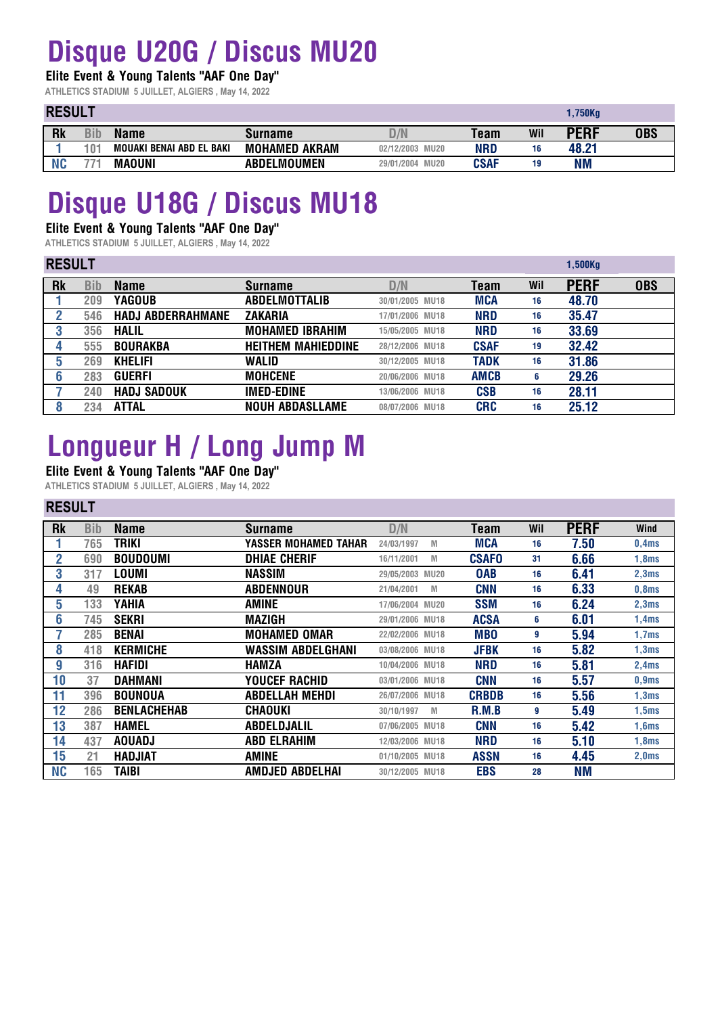# **Disque U20G / Discus MU20**

#### **Elite Event & Young Talents "AAF One Day"**

**ATHLETICS STADIUM 5 JUILLET, ALGIERS , May 14, 2022**

### **RESULT**

| <b>RESULI</b> |                 |                          |                      | ı, / JUNY                 |             |     |             |            |
|---------------|-----------------|--------------------------|----------------------|---------------------------|-------------|-----|-------------|------------|
| Rk            | Bib             | <b>Name</b>              | Surname              |                           | Team        | Wil | <b>PERF</b> | <b>OBS</b> |
|               | 10 <sup>4</sup> | MOUAKI BENAI ABD EL BAKI | <b>MOHAMED AKRAM</b> | 02/12/2003 MU20           | NRD         | 16  | 48.21       |            |
|               | ララィ             | <b>MAOUNI</b>            | <b>ABDELMOUMEN</b>   | <b>MU20</b><br>29/01/2004 | <b>CSAF</b> | 19  | ΝM          |            |

**1,750Kg**

## **Disque U18G / Discus MU18**

#### **Elite Event & Young Talents "AAF One Day"**

**ATHLETICS STADIUM 5 JUILLET, ALGIERS , May 14, 2022**

### **RESULT**

| <b>RESULI</b> |     |                          |                           |                 | $1,500$ Kg  |     |             |            |
|---------------|-----|--------------------------|---------------------------|-----------------|-------------|-----|-------------|------------|
| Rk            | Bib | <b>Name</b>              | <b>Surname</b>            | D/N             | Team        | Wil | <b>PERF</b> | <b>OBS</b> |
|               | 209 | YAGOUB                   | <b>ABDELMOTTALIB</b>      | 30/01/2005 MU18 | <b>MCA</b>  | 16  | 48.70       |            |
|               | 546 | <b>HADJ ABDERRAHMANE</b> | <b>ZAKARIA</b>            | 17/01/2006 MU18 | <b>NRD</b>  | 16  | 35.47       |            |
|               | 356 | <b>HALIL</b>             | <b>MOHAMED IBRAHIM</b>    | 15/05/2005 MU18 | <b>NRD</b>  | 16  | 33.69       |            |
|               | 555 | <b>BOURAKBA</b>          | <b>HEITHEM MAHIEDDINE</b> | 28/12/2006 MU18 | <b>CSAF</b> | 19  | 32.42       |            |
| 5             | 269 | <b>KHELIFI</b>           | WALID                     | 30/12/2005 MU18 | <b>TADK</b> | 16  | 31.86       |            |
|               | 283 | <b>GUERFI</b>            | <b>MOHCENE</b>            | 20/06/2006 MU18 | <b>AMCB</b> | 6   | 29.26       |            |
|               | 240 | <b>HADJ SADOUK</b>       | <b>IMED-EDINE</b>         | 13/06/2006 MU18 | <b>CSB</b>  | 16  | 28.11       |            |
|               | 234 | <b>ATTAL</b>             | <b>NOUH ABDASLLAME</b>    | 08/07/2006 MU18 | <b>CRC</b>  | 16  | 25.12       |            |

# **Longueur H / Long Jump M**

### **Elite Event & Young Talents "AAF One Day"**

**ATHLETICS STADIUM 5 JUILLET, ALGIERS , May 14, 2022**

#### **RESULT**

| <b>Rk</b> | <b>Bib</b> | <b>Name</b>        | <b>Surname</b>        | D/N             |             | Team         | Wil | <b>PERF</b> | <b>Wind</b> |
|-----------|------------|--------------------|-----------------------|-----------------|-------------|--------------|-----|-------------|-------------|
|           | 765        | <b>TRIKI</b>       | YASSER MOHAMED TAHAR  | 24/03/1997      | M           | <b>MCA</b>   | 16  | 7.50        | 0,4ms       |
| 2         | 690        | <b>BOUDOUMI</b>    | <b>DHIAE CHERIF</b>   | 16/11/2001      | M           | <b>CSAFO</b> | 31  | 6.66        | 1,8ms       |
| 3         | 317        | LOUMI              | <b>NASSIM</b>         | 29/05/2003      | <b>MU20</b> | <b>OAB</b>   | 16  | 6.41        | 2,3ms       |
| 4         | 49         | <b>REKAB</b>       | <b>ABDENNOUR</b>      | 21/04/2001      | M           | <b>CNN</b>   | 16  | 6.33        | 0,8ms       |
| 5         | 133        | YAHIA              | <b>AMINE</b>          | 17/06/2004 MU20 |             | <b>SSM</b>   | 16  | 6.24        | 2,3ms       |
| 6         | 745        | <b>SEKRI</b>       | <b>MAZIGH</b>         | 29/01/2006 MU18 |             | <b>ACSA</b>  | 6   | 6.01        | 1,4ms       |
|           | 285        | <b>BENAI</b>       | <b>MOHAMED OMAR</b>   | 22/02/2006 MU18 |             | <b>MBO</b>   | 9   | 5.94        | 1,7ms       |
| 8         | 418        | <b>KERMICHE</b>    | WASSIM ABDELGHANI     | 03/08/2006 MU18 |             | <b>JFBK</b>  | 16  | 5.82        | 1,3ms       |
| 9         | 316        | <b>HAFIDI</b>      | HAMZA                 | 10/04/2006 MU18 |             | <b>NRD</b>   | 16  | 5.81        | 2,4ms       |
| 10        | 37         | <b>DAHMANI</b>     | <b>YOUCEF RACHID</b>  | 03/01/2006 MU18 |             | <b>CNN</b>   | 16  | 5.57        | 0,9ms       |
| 11        | 396        | <b>BOUNOUA</b>     | <b>ABDELLAH MEHDI</b> | 26/07/2006 MU18 |             | <b>CRBDB</b> | 16  | 5.56        | 1,3ms       |
| 12        | 286        | <b>BENLACHEHAB</b> | CHAOUKI               | 30/10/1997      | M           | <b>R.M.B</b> | 9   | 5.49        | 1,5ms       |
| 13        | 387        | <b>HAMEL</b>       | ABDELDJALIL           | 07/06/2005 MU18 |             | <b>CNN</b>   | 16  | 5.42        | 1,6ms       |
| 14        | 437        | <b>AOUADJ</b>      | <b>ABD ELRAHIM</b>    | 12/03/2006 MU18 |             | <b>NRD</b>   | 16  | 5.10        | 1,8ms       |
| 15        | 21         | <b>HADJIAT</b>     | <b>AMINE</b>          | 01/10/2005 MU18 |             | <b>ASSN</b>  | 16  | 4.45        | 2,0ms       |
| <b>NC</b> | 165        | <b>TAIBI</b>       | AMDJED ABDELHAI       | 30/12/2005 MU18 |             | <b>EBS</b>   | 28  | <b>NM</b>   |             |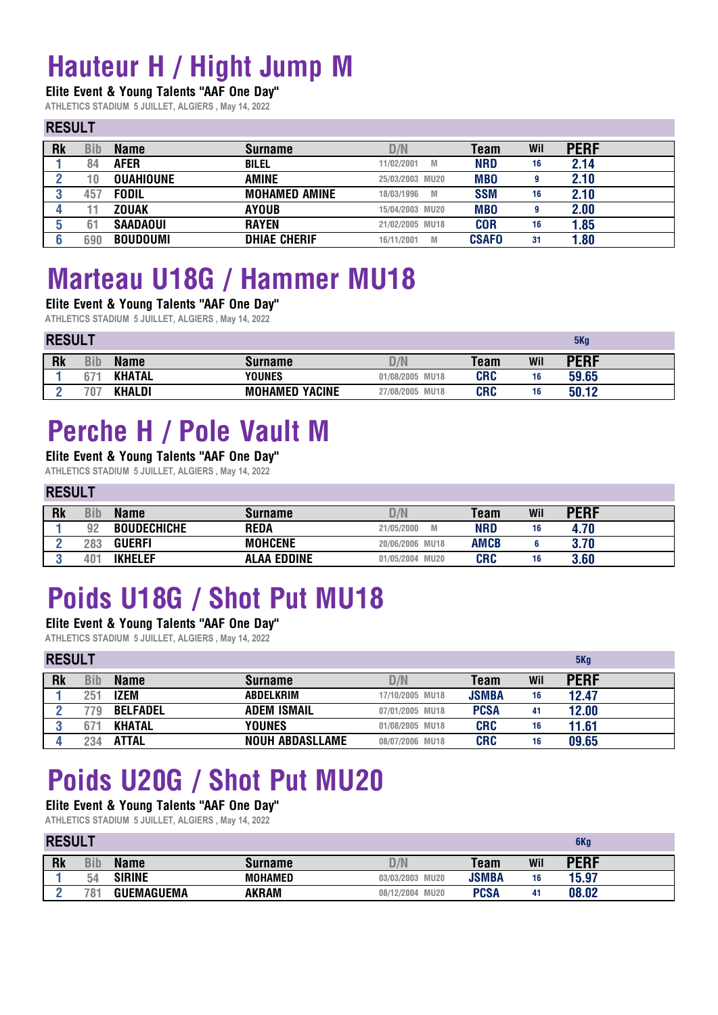# **Hauteur H / Hight Jump M**

#### **Elite Event & Young Talents "AAF One Day"**

**ATHLETICS STADIUM 5 JUILLET, ALGIERS , May 14, 2022**

#### **RESULT**

| .         |     |                  |                      |                 |              |     |             |
|-----------|-----|------------------|----------------------|-----------------|--------------|-----|-------------|
| <b>Rk</b> | Bib | <b>Name</b>      | <b>Surname</b>       | D/N             | Team         | Wil | <b>PERF</b> |
|           | 84  | <b>AFER</b>      | <b>BILEL</b>         | 11/02/2001<br>M | <b>NRD</b>   | 16  | 2.14        |
|           | 0   | <b>OUAHIOUNE</b> | <b>AMINE</b>         | 25/03/2003 MU20 | <b>MBO</b>   |     | 2.10        |
|           | 457 | <b>FODIL</b>     | <b>MOHAMED AMINE</b> | 18/03/1996<br>M | <b>SSM</b>   | 16  | 2.10        |
|           |     | <b>ZOUAK</b>     | <b>AYOUB</b>         | 15/04/2003 MU20 | <b>MBO</b>   | 9   | 2.00        |
|           |     | <b>SAADAOUI</b>  | <b>RAYEN</b>         | 21/02/2005 MU18 | <b>COR</b>   | 16  | 1.85        |
|           | 690 | <b>BOUDOUMI</b>  | <b>DHIAE CHERIF</b>  | 16/11/2001<br>M | <b>CSAFO</b> | 31  | 1.80        |

## **Marteau U18G / Hammer MU18**

#### **Elite Event & Young Talents "AAF One Day"**

**ATHLETICS STADIUM 5 JUILLET, ALGIERS , May 14, 2022**

|           | <b>RESULT</b> |               |                       |                 |            |     | 5Kg         |  |
|-----------|---------------|---------------|-----------------------|-----------------|------------|-----|-------------|--|
| <b>Rk</b> | <b>Bib</b>    | <b>Name</b>   | <b>Surname</b>        | D/N             | Team       | Wil | <b>PERF</b> |  |
|           | b/            | <b>KHATAL</b> | <b>YOUNES</b>         | 01/08/2005 MU18 | <b>CRC</b> | 16  | 59.65       |  |
|           | 707           | <b>KHALDI</b> | <b>MOHAMED YACINE</b> | 27/08/2005 MU18 | <b>CRC</b> | 16  | 50.12       |  |

## **Perche H / Pole Vault M**

#### **Elite Event & Young Talents "AAF One Day"**

**ATHLETICS STADIUM 5 JUILLET, ALGIERS , May 14, 2022**

#### **RESULT**

| <b>Rk</b> | Bib | Name               | <b>Surname</b>     | D/N                       | Team        | Wil | PERF |  |
|-----------|-----|--------------------|--------------------|---------------------------|-------------|-----|------|--|
|           | 92  | <b>BOUDECHICHE</b> | <b>REDA</b>        | M<br>21/05/2000           | <b>NRD</b>  | 16  | 4.70 |  |
|           | 283 | <b>GUERFI</b>      | <b>MOHCENE</b>     | 20/06/2006 MU18           | <b>AMCB</b> |     | 3.70 |  |
|           | 101 | <b>IKHELEF</b>     | <b>ALAA EDDINE</b> | <b>MU20</b><br>01/05/2004 | <b>CRC</b>  | 16  | 3.60 |  |

# **Poids U18G / Shot Put MU18**

#### **Elite Event & Young Talents "AAF One Day"**

**ATHLETICS STADIUM 5 JUILLET, ALGIERS , May 14, 2022**

| <b>RESULT</b> |     |                 |                        |                 |              | 5Kq |             |
|---------------|-----|-----------------|------------------------|-----------------|--------------|-----|-------------|
| <b>Rk</b>     | Bib | <b>Name</b>     | <b>Surname</b>         | D/N             | Team         | Wil | <b>PERF</b> |
|               | 251 | IZEM            | ABDELKRIM              | 17/10/2005 MU18 | <b>JSMBA</b> | 16  | 12.47       |
|               | 779 | <b>BELFADEL</b> | <b>ADEM ISMAIL</b>     | 07/01/2005 MU18 | <b>PCSA</b>  | 41  | 12.00       |
|               |     | <b>KHATAL</b>   | <b>YOUNES</b>          | 01/08/2005 MU18 | <b>CRC</b>   | 16  | 11.61       |
|               | 234 | <b>ATTAL</b>    | <b>NOUH ABDASLLAME</b> | 08/07/2006 MU18 | <b>CRC</b>   | 16  | 09.65       |

# **Poids U20G / Shot Put MU20**

**Elite Event & Young Talents "AAF One Day"**

**ATHLETICS STADIUM 5 JUILLET, ALGIERS , May 14, 2022**

#### **RESULT**

| <b>Rk</b> | Bib             | Name      | Surname        | $\mathcal{U}$             | Team         | Wil | DEDF  |
|-----------|-----------------|-----------|----------------|---------------------------|--------------|-----|-------|
|           | 54              | SIRINE    | <b>MOHAMED</b> | <b>MU20</b><br>03/03/2003 | <b>JSMBA</b> | 16  | 15.97 |
|           | 78 <sub>1</sub> | UEMAGUEMA | <b>AKRAM</b>   | <b>MU20</b><br>08/12/2004 | <b>PCSA</b>  | 41  | 08.02 |

**6Kg**